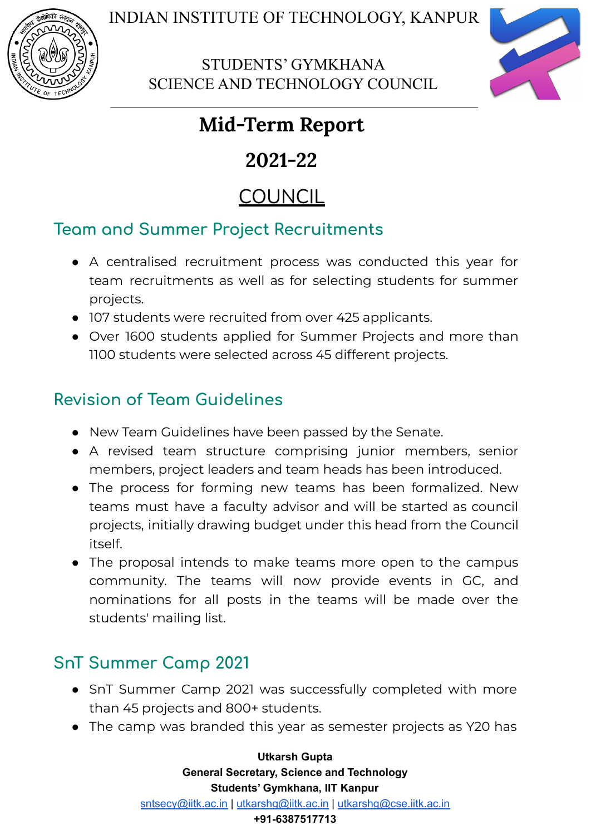

STUDENTS' GYMKHANA SCIENCE AND TECHNOLOGY COUNCIL



# **Mid-Term Report**

# **2021-22**

# **COUNCIL**

## **Team and Summer Project Recruitments**

- A centralised recruitment process was conducted this year for team recruitments as well as for selecting students for summer projects.
- 107 students were recruited from over 425 applicants.
- Over 1600 students applied for Summer Projects and more than 1100 students were selected across 45 different projects.

## **Revision of Team Guidelines**

- New Team Guidelines have been passed by the Senate.
- A revised team structure comprising junior members, senior members, project leaders and team heads has been introduced.
- The process for forming new teams has been formalized. New teams must have a faculty advisor and will be started as council projects, initially drawing budget under this head from the Council itself.
- The proposal intends to make teams more open to the campus community. The teams will now provide events in GC, and nominations for all posts in the teams will be made over the students' mailing list.

# **SnT Summer Camp 2021**

- SnT Summer Camp 2021 was successfully completed with more than 45 projects and 800+ students.
- The camp was branded this year as semester projects as Y20 has

**Utkarsh Gupta General Secretary, Science and Technology Students' Gymkhana, IIT Kanpur** [sntsecy@iitk.ac.in](mailto:sntsecy@iitk.ac.in) | [utkarshg@iitk.ac.in](mailto:utkarshg@iitk.ac.in) | [utkarshg@cse.iitk.ac.in](mailto:utkarshg@cse.iitk.ac.in) **+91-6387517713**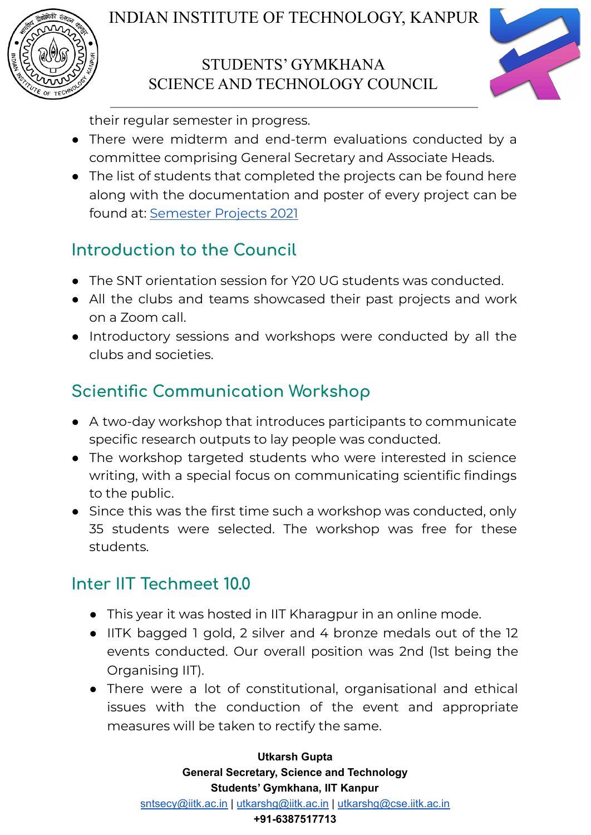





their regular semester in progress.

- There were midterm and end-term evaluations conducted by a committee comprising General Secretary and Associate Heads.
- The list of students that completed the projects can be found here along with the documentation and poster of every project can be found at: [Semester](https://docs.google.com/spreadsheets/d/1dvVWhKFf7bNOuH39Hip741Ktbn1kn3jCCPIOmQHfbOc/edit?usp=sharing) Projects 2021

## **Introduction to the Council**

- The SNT orientation session for Y20 UG students was conducted.
- All the clubs and teams showcased their past projects and work on a Zoom call.
- Introductory sessions and workshops were conducted by all the clubs and societies.

## **Scientific Communication Workshop**

- A two-day workshop that introduces participants to communicate specific research outputs to lay people was conducted.
- The workshop targeted students who were interested in science writing, with a special focus on communicating scientific findings to the public.
- Since this was the first time such a workshop was conducted, only 35 students were selected. The workshop was free for these students.

## **Inter IIT Techmeet 10.0**

- This year it was hosted in IIT Kharagpur in an online mode.
- IITK bagged 1 gold, 2 silver and 4 bronze medals out of the 12 events conducted. Our overall position was 2nd (1st being the Organising IIT).
- There were a lot of constitutional, organisational and ethical issues with the conduction of the event and appropriate measures will be taken to rectify the same.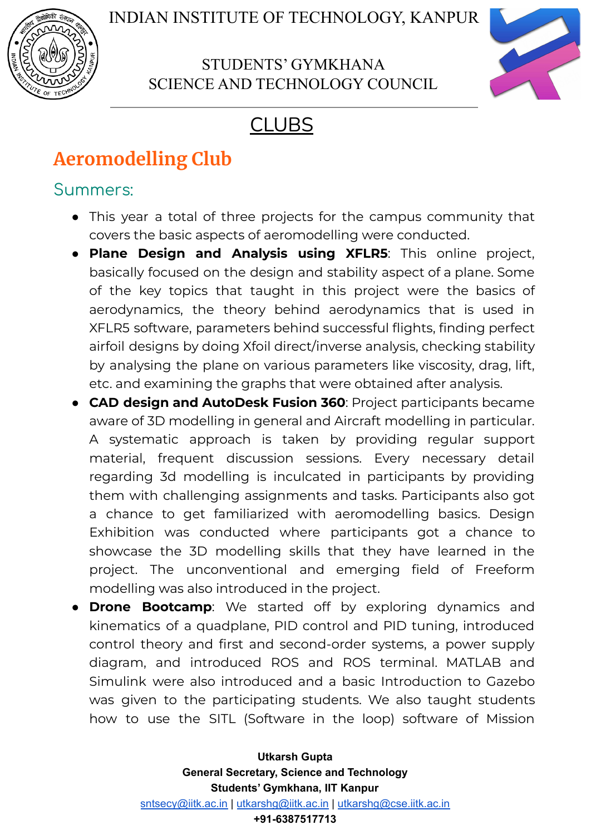

## STUDENTS' GYMKHANA SCIENCE AND TECHNOLOGY COUNCIL



# CLUBS

# **Aeromodelling Club**

### Summers:

- This year a total of three projects for the campus community that covers the basic aspects of aeromodelling were conducted.
- **Plane Design and Analysis using XFLR5**: This online project, basically focused on the design and stability aspect of a plane. Some of the key topics that taught in this project were the basics of aerodynamics, the theory behind aerodynamics that is used in XFLR5 software, parameters behind successful flights, finding perfect airfoil designs by doing Xfoil direct/inverse analysis, checking stability by analysing the plane on various parameters like viscosity, drag, lift, etc. and examining the graphs that were obtained after analysis.
- **CAD design and AutoDesk Fusion 360**: Project participants became aware of 3D modelling in general and Aircraft modelling in particular. A systematic approach is taken by providing regular support material, frequent discussion sessions. Every necessary detail regarding 3d modelling is inculcated in participants by providing them with challenging assignments and tasks. Participants also got a chance to get familiarized with aeromodelling basics. Design Exhibition was conducted where participants got a chance to showcase the 3D modelling skills that they have learned in the project. The unconventional and emerging field of Freeform modelling was also introduced in the project.
- **Drone Bootcamp**: We started off by exploring dynamics and kinematics of a quadplane, PID control and PID tuning, introduced control theory and first and second-order systems, a power supply diagram, and introduced ROS and ROS terminal. MATLAB and Simulink were also introduced and a basic Introduction to Gazebo was given to the participating students. We also taught students how to use the SITL (Software in the loop) software of Mission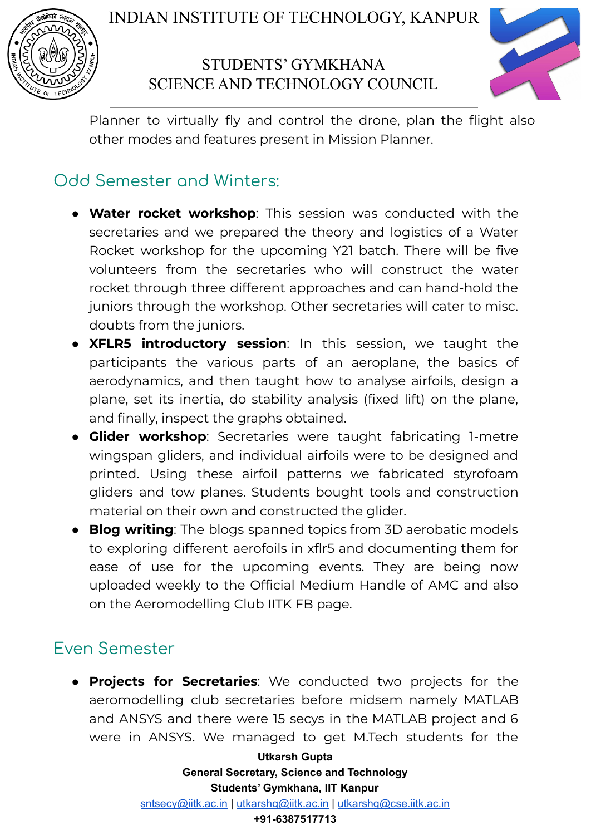

## STUDENTS' GYMKHANA SCIENCE AND TECHNOLOGY COUNCIL



Planner to virtually fly and control the drone, plan the flight also other modes and features present in Mission Planner.

## Odd Semester and Winters:

- **Water rocket workshop**: This session was conducted with the secretaries and we prepared the theory and logistics of a Water Rocket workshop for the upcoming Y21 batch. There will be five volunteers from the secretaries who will construct the water rocket through three different approaches and can hand-hold the juniors through the workshop. Other secretaries will cater to misc. doubts from the juniors.
- **XFLR5 introductory session**: In this session, we taught the participants the various parts of an aeroplane, the basics of aerodynamics, and then taught how to analyse airfoils, design a plane, set its inertia, do stability analysis (fixed lift) on the plane, and finally, inspect the graphs obtained.
- **Glider workshop**: Secretaries were taught fabricating 1-metre wingspan gliders, and individual airfoils were to be designed and printed. Using these airfoil patterns we fabricated styrofoam gliders and tow planes. Students bought tools and construction material on their own and constructed the glider.
- **Blog writing**: The blogs spanned topics from 3D aerobatic models to exploring different aerofoils in xflr5 and documenting them for ease of use for the upcoming events. They are being now uploaded weekly to the Official Medium Handle of AMC and also on the Aeromodelling Club IITK FB page.

## Even Semester

● **Projects for Secretaries**: We conducted two projects for the aeromodelling club secretaries before midsem namely MATLAB and ANSYS and there were 15 secys in the MATLAB project and 6 were in ANSYS. We managed to get M.Tech students for the

> **Utkarsh Gupta General Secretary, Science and Technology Students' Gymkhana, IIT Kanpur** [sntsecy@iitk.ac.in](mailto:sntsecy@iitk.ac.in) | [utkarshg@iitk.ac.in](mailto:utkarshg@iitk.ac.in) | [utkarshg@cse.iitk.ac.in](mailto:utkarshg@cse.iitk.ac.in)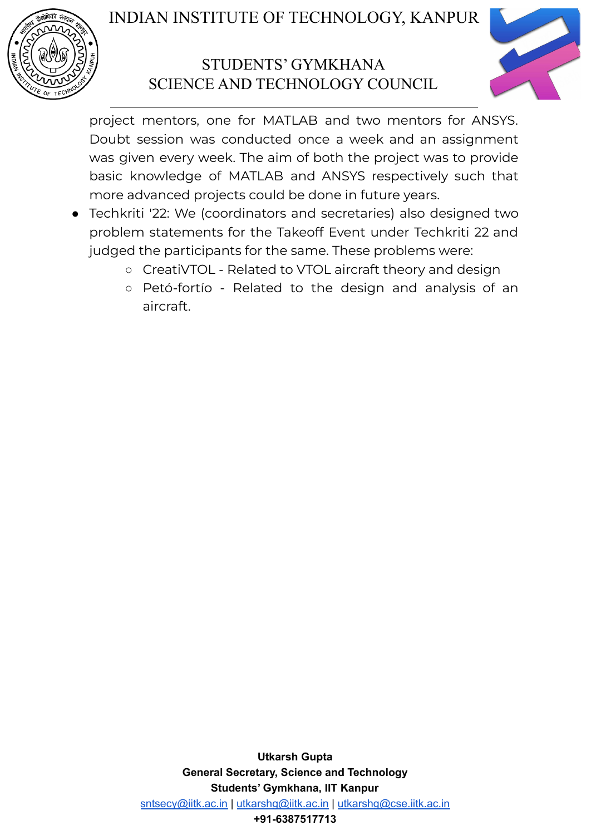

## STUDENTS' GYMKHANA SCIENCE AND TECHNOLOGY COUNCIL



project mentors, one for MATLAB and two mentors for ANSYS. Doubt session was conducted once a week and an assignment was given every week. The aim of both the project was to provide basic knowledge of MATLAB and ANSYS respectively such that more advanced projects could be done in future years.

- Techkriti '22: We (coordinators and secretaries) also designed two problem statements for the Takeoff Event under Techkriti 22 and judged the participants for the same. These problems were:
	- CreatiVTOL Related to VTOL aircraft theory and design
	- Petó-fortío Related to the design and analysis of an aircraft.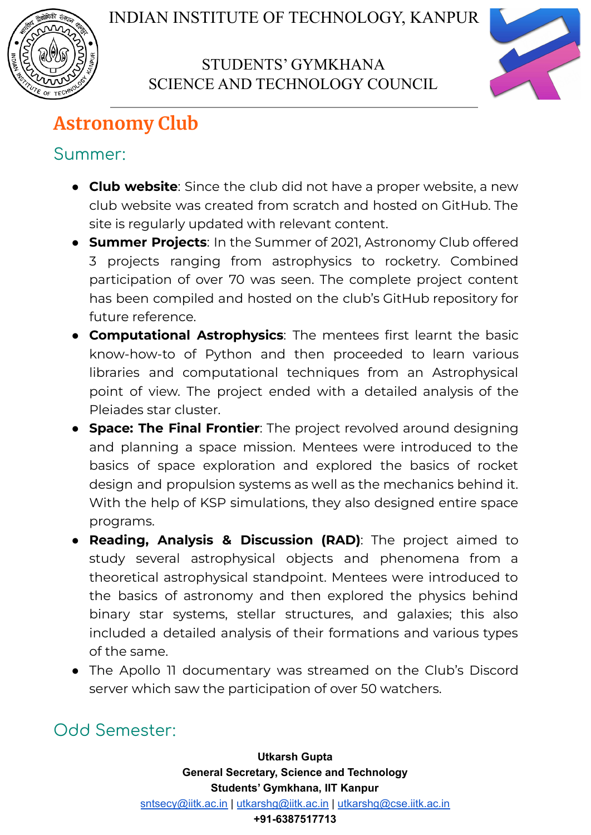



# **Astronomy Club**

## Summer:

- **Club website**: Since the club did not have a proper website, a new club website was created from scratch and hosted on GitHub. The site is regularly updated with relevant content.
- **Summer Projects**: In the Summer of 2021, Astronomy Club offered 3 projects ranging from astrophysics to rocketry. Combined participation of over 70 was seen. The complete project content has been compiled and hosted on the club's GitHub repository for future reference.
- **Computational Astrophysics**: The mentees first learnt the basic know-how-to of Python and then proceeded to learn various libraries and computational techniques from an Astrophysical point of view. The project ended with a detailed analysis of the Pleiades star cluster.
- **Space: The Final Frontier**: The project revolved around designing and planning a space mission. Mentees were introduced to the basics of space exploration and explored the basics of rocket design and propulsion systems as well as the mechanics behind it. With the help of KSP simulations, they also designed entire space programs.
- **Reading, Analysis & Discussion (RAD)**: The project aimed to study several astrophysical objects and phenomena from a theoretical astrophysical standpoint. Mentees were introduced to the basics of astronomy and then explored the physics behind binary star systems, stellar structures, and galaxies; this also included a detailed analysis of their formations and various types of the same.
- The Apollo 11 documentary was streamed on the Club's Discord server which saw the participation of over 50 watchers.

## Odd Semester: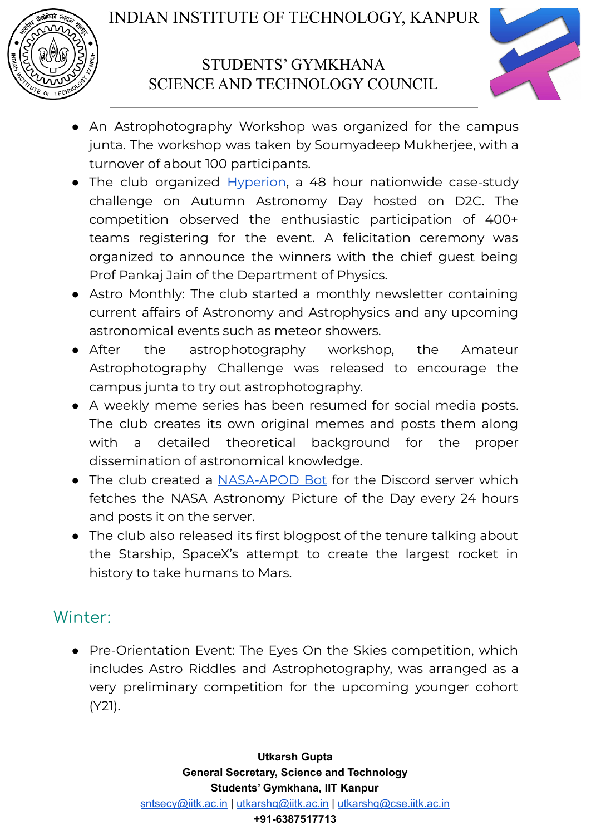



- An Astrophotography Workshop was organized for the campus junta. The workshop was taken by Soumyadeep Mukherjee, with a turnover of about 100 participants.
- The club organized [Hyperion,](https://dare2compete.com/competition/hyperion-2021-indian-institute-of-technology-iit-kanpur-214355) a 48 hour nationwide case-study challenge on Autumn Astronomy Day hosted on D2C. The competition observed the enthusiastic participation of 400+ teams registering for the event. A felicitation ceremony was organized to announce the winners with the chief guest being Prof Pankaj Jain of the Department of Physics.
- Astro Monthly: The club started a monthly newsletter containing current affairs of Astronomy and Astrophysics and any upcoming astronomical events such as meteor showers.
- After the astrophotography workshop, the Amateur Astrophotography Challenge was released to encourage the campus junta to try out astrophotography.
- A weekly meme series has been resumed for social media posts. The club creates its own original memes and posts them along with a detailed theoretical background for the proper dissemination of astronomical knowledge.
- The club created a [NASA-APOD](https://github.com/astroclubiitk/NASA-APOD-Discord-Bot) Bot for the Discord server which fetches the NASA Astronomy Picture of the Day every 24 hours and posts it on the server.
- The club also released its first blogpost of the tenure talking about the Starship, SpaceX's attempt to create the largest rocket in history to take humans to Mars.

## Winter:

● Pre-Orientation Event: The Eyes On the Skies competition, which includes Astro Riddles and Astrophotography, was arranged as a very preliminary competition for the upcoming younger cohort (Y21).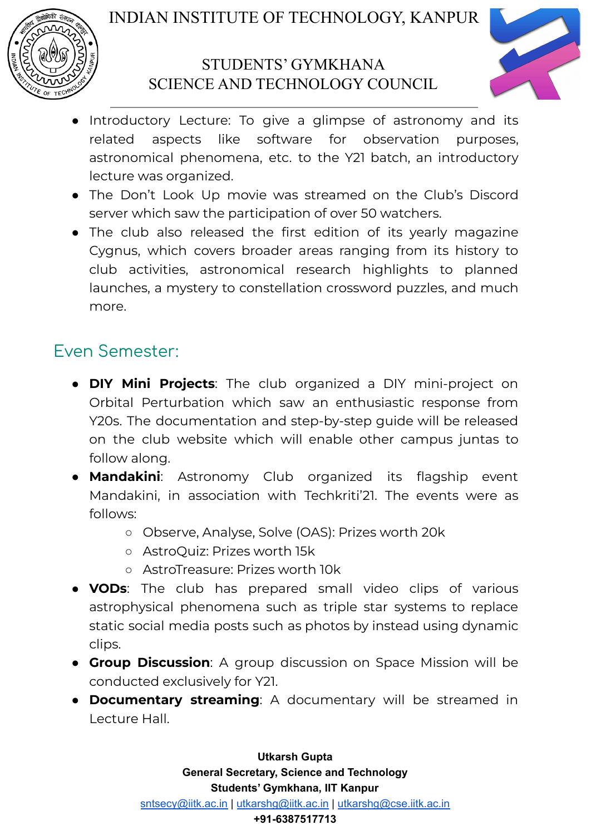



- Introductory Lecture: To give a glimpse of astronomy and its related aspects like software for observation purposes, astronomical phenomena, etc. to the Y21 batch, an introductory lecture was organized.
- The Don't Look Up movie was streamed on the Club's Discord server which saw the participation of over 50 watchers.
- The club also released the first edition of its yearly magazine Cygnus, which covers broader areas ranging from its history to club activities, astronomical research highlights to planned launches, a mystery to constellation crossword puzzles, and much more.

## Even Semester:

- **DIY Mini Projects**: The club organized a DIY mini-project on Orbital Perturbation which saw an enthusiastic response from Y20s. The documentation and step-by-step guide will be released on the club website which will enable other campus juntas to follow along.
- **Mandakini**: Astronomy Club organized its flagship event Mandakini, in association with Techkriti'21. The events were as follows:
	- Observe, Analyse, Solve (OAS): Prizes worth 20k
	- AstroQuiz: Prizes worth 15k
	- AstroTreasure: Prizes worth 10k
- **VODs**: The club has prepared small video clips of various astrophysical phenomena such as triple star systems to replace static social media posts such as photos by instead using dynamic clips.
- **Group Discussion**: A group discussion on Space Mission will be conducted exclusively for Y21.
- **Documentary streaming**: A documentary will be streamed in Lecture Hall.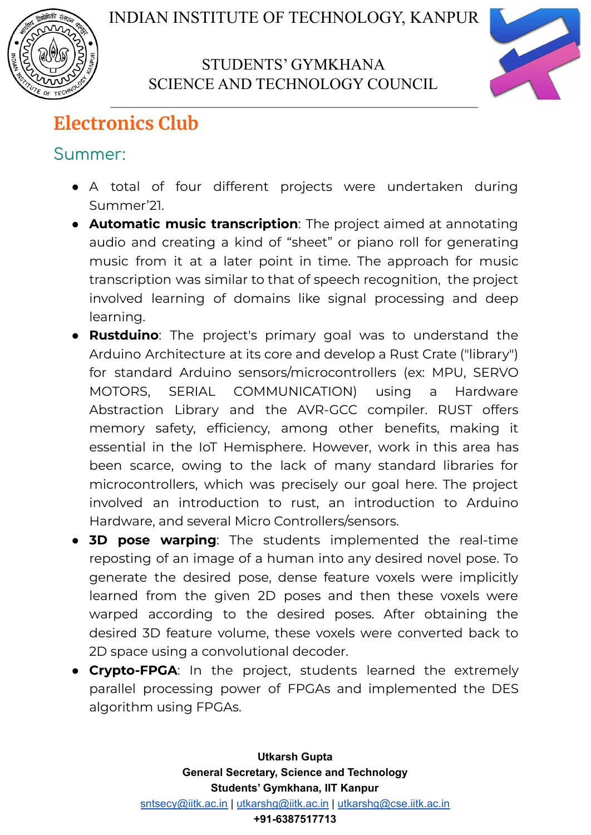



# **Electronics Club**

## Summer:

- A total of four different projects were undertaken during Summer'21.
- **Automatic music transcription**: The project aimed at annotating audio and creating a kind of "sheet" or piano roll for generating music from it at a later point in time. The approach for music transcription was similar to that of speech recognition, the project involved learning of domains like signal processing and deep learning.
- **Rustduino**: The project's primary goal was to understand the Arduino Architecture at its core and develop a Rust Crate ("library") for standard Arduino sensors/microcontrollers (ex: MPU, SERVO MOTORS, SERIAL COMMUNICATION) using a Hardware Abstraction Library and the AVR-GCC compiler. RUST offers memory safety, efficiency, among other benefits, making it essential in the IoT Hemisphere. However, work in this area has been scarce, owing to the lack of many standard libraries for microcontrollers, which was precisely our goal here. The project involved an introduction to rust, an introduction to Arduino Hardware, and several Micro Controllers/sensors.
- **3D pose warping**: The students implemented the real-time reposting of an image of a human into any desired novel pose. To generate the desired pose, dense feature voxels were implicitly learned from the given 2D poses and then these voxels were warped according to the desired poses. After obtaining the desired 3D feature volume, these voxels were converted back to 2D space using a convolutional decoder.
- **Crypto-FPGA**: In the project, students learned the extremely parallel processing power of FPGAs and implemented the DES algorithm using FPGAs.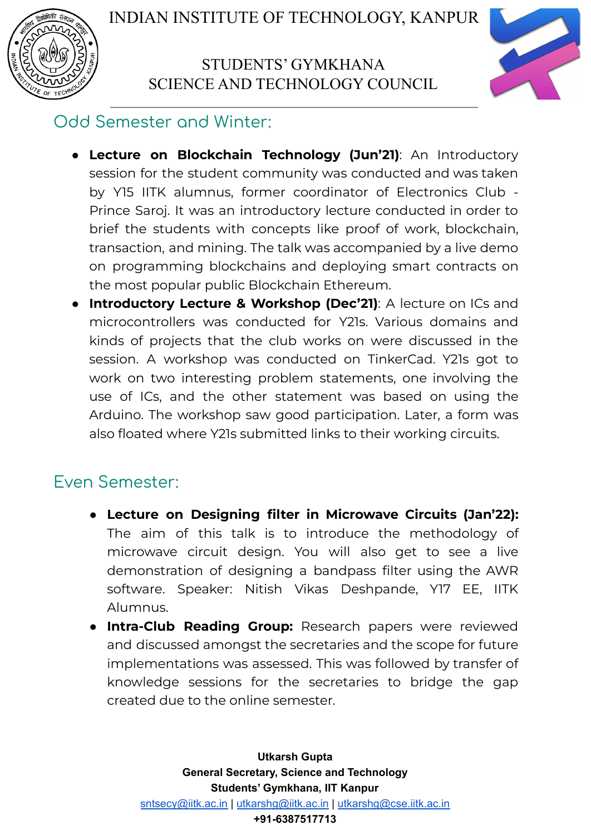



## Odd Semester and Winter:

- **Lecture on Blockchain Technology (Jun'21)**: An Introductory session for the student community was conducted and was taken by Y15 IITK alumnus, former coordinator of Electronics Club - Prince Saroj. It was an introductory lecture conducted in order to brief the students with concepts like proof of work, blockchain, transaction, and mining. The talk was accompanied by a live demo on programming blockchains and deploying smart contracts on the most popular public Blockchain Ethereum.
- **● Introductory Lecture & Workshop (Dec'21)**: A lecture on ICs and microcontrollers was conducted for Y21s. Various domains and kinds of projects that the club works on were discussed in the session. A workshop was conducted on TinkerCad. Y21s got to work on two interesting problem statements, one involving the use of ICs, and the other statement was based on using the Arduino. The workshop saw good participation. Later, a form was also floated where Y21s submitted links to their working circuits.

## Even Semester:

- **● Lecture on Designing filter in Microwave Circuits (Jan'22):** The aim of this talk is to introduce the methodology of microwave circuit design. You will also get to see a live demonstration of designing a bandpass filter using the AWR software. Speaker: Nitish Vikas Deshpande, Y17 EE, IITK Alumnus.
- **● Intra-Club Reading Group:** Research papers were reviewed and discussed amongst the secretaries and the scope for future implementations was assessed. This was followed by transfer of knowledge sessions for the secretaries to bridge the gap created due to the online semester.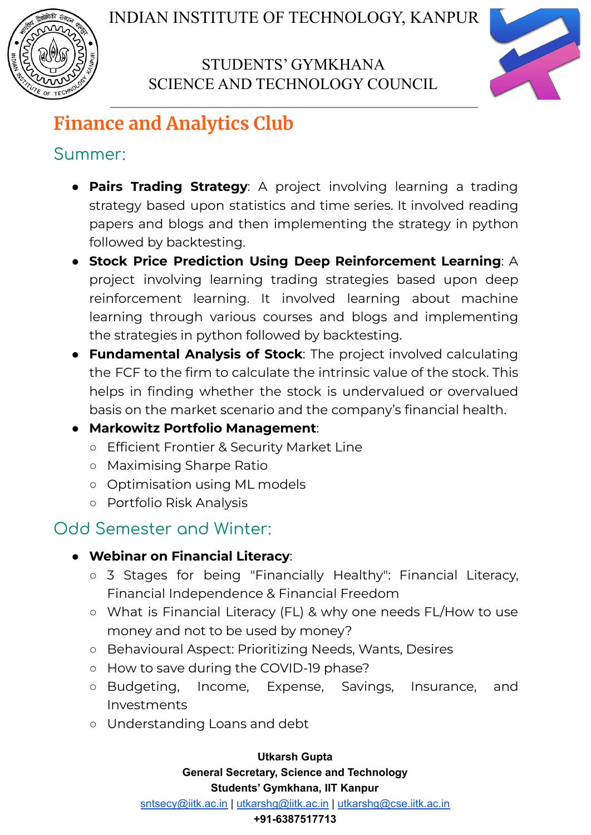



# **Finance and Analytics Club**

## Summer:

- **Pairs Trading Strategy**: A project involving learning a trading strategy based upon statistics and time series. It involved reading papers and blogs and then implementing the strategy in python followed by backtesting.
- **● Stock Price Prediction Using Deep Reinforcement Learning**: A project involving learning trading strategies based upon deep reinforcement learning. It involved learning about machine learning through various courses and blogs and implementing the strategies in python followed by backtesting.
- **● Fundamental Analysis of Stock**: The project involved calculating the FCF to the firm to calculate the intrinsic value of the stock. This helps in finding whether the stock is undervalued or overvalued basis on the market scenario and the company's financial health.

### ● **Markowitz Portfolio Management**:

- Efficient Frontier & Security Market Line
- Maximising Sharpe Ratio
- Optimisation using ML models
- Portfolio Risk Analysis

## Odd Semester and Winter:

### ● **Webinar on Financial Literacy**:

- 3 Stages for being "Financially Healthy": Financial Literacy, Financial Independence & Financial Freedom
- What is Financial Literacy (FL) & why one needs FL/How to use money and not to be used by money?
- Behavioural Aspect: Prioritizing Needs, Wants, Desires
- How to save during the COVID-19 phase?
- Budgeting, Income, Expense, Savings, Insurance, and Investments
- Understanding Loans and debt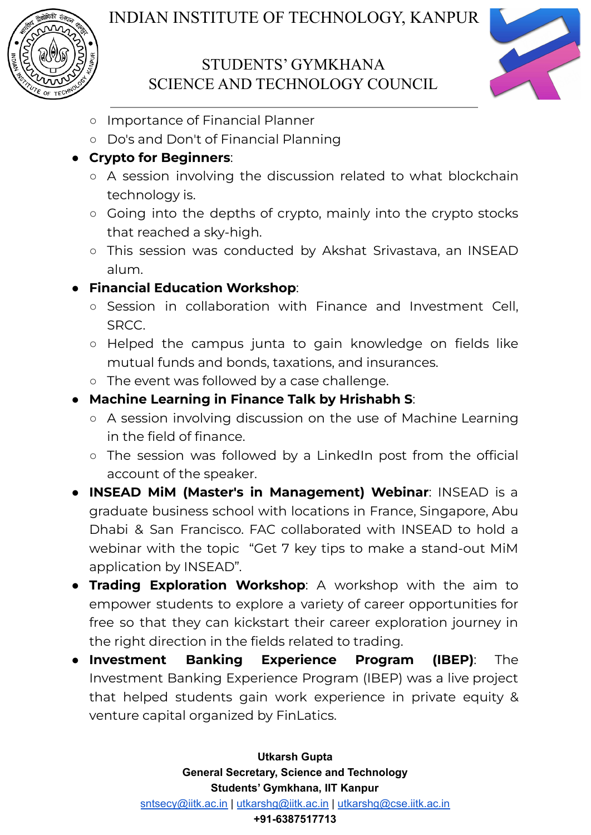



- Importance of Financial Planner
- Do's and Don't of Financial Planning

#### ● **Crypto for Beginners**:

- A session involving the discussion related to what blockchain technology is.
- Going into the depths of crypto, mainly into the crypto stocks that reached a sky-high.
- This session was conducted by Akshat Srivastava, an INSEAD alum.

### ● **Financial Education Workshop**:

- Session in collaboration with Finance and Investment Cell, SRCC.
- Helped the campus junta to gain knowledge on fields like mutual funds and bonds, taxations, and insurances.
- The event was followed by a case challenge.

#### ● **Machine Learning in Finance Talk by Hrishabh S**:

- A session involving discussion on the use of Machine Learning in the field of finance.
- The session was followed by a LinkedIn post from the official account of the speaker.
- **INSEAD MiM (Master's in Management) Webinar**: INSEAD is a graduate business school with locations in France, Singapore, Abu Dhabi & San Francisco. FAC collaborated with INSEAD to hold a webinar with the topic "Get 7 key tips to make a stand-out MiM application by INSEAD".
- **Trading Exploration Workshop**: A workshop with the aim to empower students to explore a variety of career opportunities for free so that they can kickstart their career exploration journey in the right direction in the fields related to trading.
- **Investment Banking Experience Program (IBEP)**: The Investment Banking Experience Program (IBEP) was a live project that helped students gain work experience in private equity & venture capital organized by FinLatics.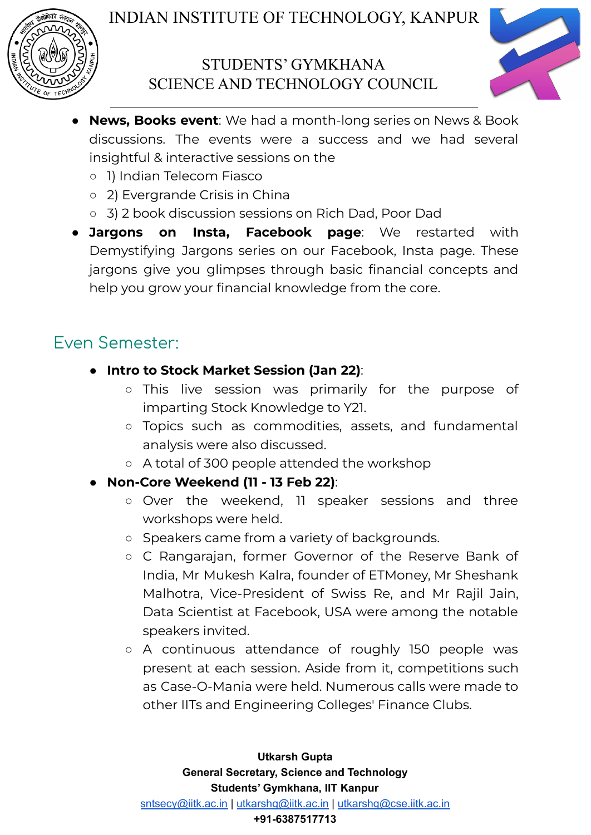



- **News, Books event**: We had a month-long series on News & Book discussions. The events were a success and we had several insightful & interactive sessions on the
	- 1) Indian Telecom Fiasco
	- 2) Evergrande Crisis in China
	- 3) 2 book discussion sessions on Rich Dad, Poor Dad
- **Jargons on Insta, Facebook page**: We restarted with Demystifying Jargons series on our Facebook, Insta page. These jargons give you glimpses through basic financial concepts and help you grow your financial knowledge from the core.

## Even Semester:

- **Intro to Stock Market Session (Jan 22)**:
	- This live session was primarily for the purpose of imparting Stock Knowledge to Y21.
	- Topics such as commodities, assets, and fundamental analysis were also discussed.
	- A total of 300 people attended the workshop
- **Non-Core Weekend (11 - 13 Feb 22)**:
	- Over the weekend, 11 speaker sessions and three workshops were held.
	- Speakers came from a variety of backgrounds.
	- C Rangarajan, former Governor of the Reserve Bank of India, Mr Mukesh Kalra, founder of ETMoney, Mr Sheshank Malhotra, Vice-President of Swiss Re, and Mr Rajil Jain, Data Scientist at Facebook, USA were among the notable speakers invited.
	- A continuous attendance of roughly 150 people was present at each session. Aside from it, competitions such as Case-O-Mania were held. Numerous calls were made to other IITs and Engineering Colleges' Finance Clubs.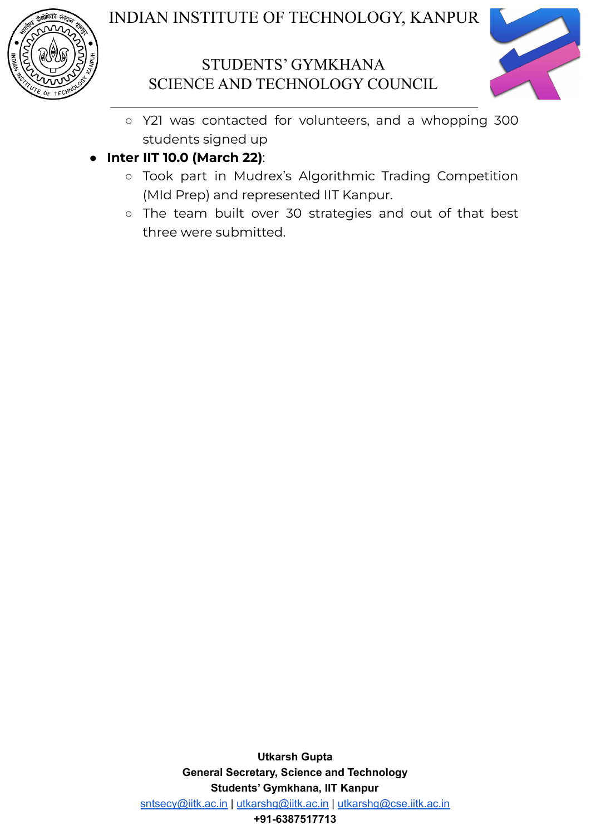



- Y21 was contacted for volunteers, and a whopping 300 students signed up
- **Inter IIT 10.0 (March 22)**:
	- Took part in Mudrex's Algorithmic Trading Competition (MId Prep) and represented IIT Kanpur.
	- The team built over 30 strategies and out of that best three were submitted.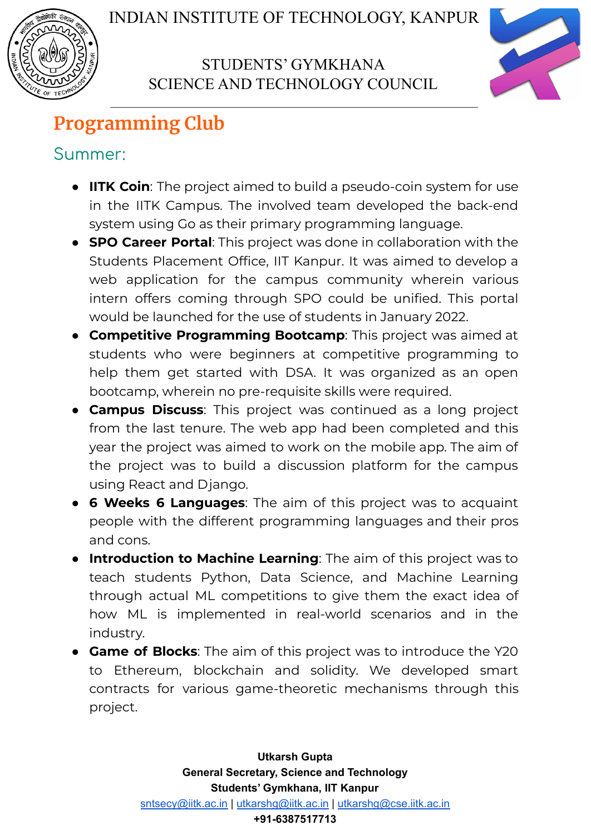



# **Programming Club**

## Summer:

- **IITK Coin**: The project aimed to build a pseudo-coin system for use in the IITK Campus. The involved team developed the back-end system using Go as their primary programming language.
- **SPO Career Portal**: This project was done in collaboration with the Students Placement Office, IIT Kanpur. It was aimed to develop a web application for the campus community wherein various intern offers coming through SPO could be unified. This portal would be launched for the use of students in January 2022.
- **Competitive Programming Bootcamp**: This project was aimed at students who were beginners at competitive programming to help them get started with DSA. It was organized as an open bootcamp, wherein no pre-requisite skills were required.
- **Campus Discuss**: This project was continued as a long project from the last tenure. The web app had been completed and this year the project was aimed to work on the mobile app. The aim of the project was to build a discussion platform for the campus using React and Django.
- **6 Weeks 6 Languages**: The aim of this project was to acquaint people with the different programming languages and their pros and cons.
- **Introduction to Machine Learning**: The aim of this project was to teach students Python, Data Science, and Machine Learning through actual ML competitions to give them the exact idea of how ML is implemented in real-world scenarios and in the industry.
- **Game of Blocks**: The aim of this project was to introduce the Y20 to Ethereum, blockchain and solidity. We developed smart contracts for various game-theoretic mechanisms through this project.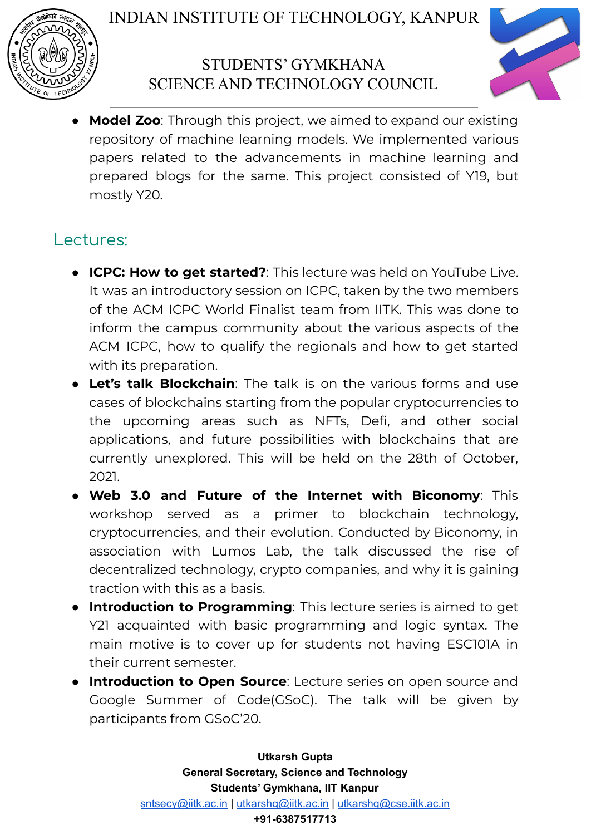



**Model Zoo**: Through this project, we aimed to expand our existing repository of machine learning models. We implemented various papers related to the advancements in machine learning and prepared blogs for the same. This project consisted of Y19, but mostly Y20.

## Lectures:

- **ICPC: How to get started?**: This lecture was held on YouTube Live. It was an introductory session on ICPC, taken by the two members of the ACM ICPC World Finalist team from IITK. This was done to inform the campus community about the various aspects of the ACM ICPC, how to qualify the regionals and how to get started with its preparation.
- **Let's talk Blockchain**: The talk is on the various forms and use cases of blockchains starting from the popular cryptocurrencies to the upcoming areas such as NFTs, Defi, and other social applications, and future possibilities with blockchains that are currently unexplored. This will be held on the 28th of October, 2021.
- **Web 3.0 and Future of the Internet with Biconomy**: This workshop served as a primer to blockchain technology, cryptocurrencies, and their evolution. Conducted by Biconomy, in association with Lumos Lab, the talk discussed the rise of decentralized technology, crypto companies, and why it is gaining traction with this as a basis.
- **● Introduction to Programming**: This lecture series is aimed to get Y21 acquainted with basic programming and logic syntax. The main motive is to cover up for students not having ESC101A in their current semester.
- **Introduction to Open Source**: Lecture series on open source and Google Summer of Code(GSoC). The talk will be given by participants from GSoC'20.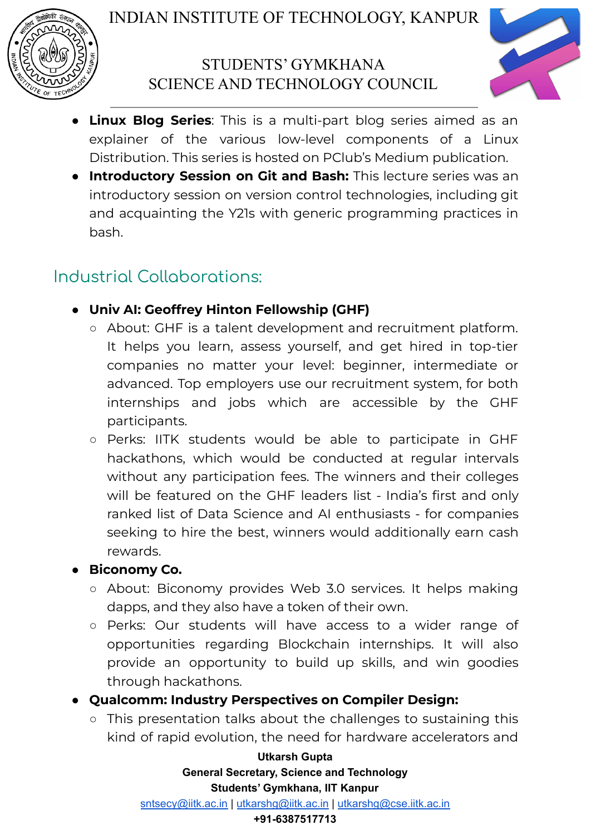



- **Linux Blog Series**: This is a multi-part blog series aimed as an explainer of the various low-level components of a Linux Distribution. This series is hosted on PClub's Medium publication.
- **● Introductory Session on Git and Bash:** This lecture series was an introductory session on version control technologies, including git and acquainting the Y21s with generic programming practices in bash.

## Industrial Collaborations:

### **● Univ AI: Geoffrey Hinton Fellowship (GHF)**

- About: GHF is a talent development and recruitment platform. It helps you learn, assess yourself, and get hired in top-tier companies no matter your level: beginner, intermediate or advanced. Top employers use our recruitment system, for both internships and jobs which are accessible by the GHF participants.
- Perks: IITK students would be able to participate in GHF hackathons, which would be conducted at regular intervals without any participation fees. The winners and their colleges will be featured on the GHF leaders list - India's first and only ranked list of Data Science and AI enthusiasts - for companies seeking to hire the best, winners would additionally earn cash rewards.

### **● Biconomy Co.**

- About: Biconomy provides Web 3.0 services. It helps making dapps, and they also have a token of their own.
- Perks: Our students will have access to a wider range of opportunities regarding Blockchain internships. It will also provide an opportunity to build up skills, and win goodies through hackathons.
- **● Qualcomm: Industry Perspectives on Compiler Design:**
	- This presentation talks about the challenges to sustaining this kind of rapid evolution, the need for hardware accelerators and

**Utkarsh Gupta General Secretary, Science and Technology Students' Gymkhana, IIT Kanpur**

[sntsecy@iitk.ac.in](mailto:sntsecy@iitk.ac.in) | [utkarshg@iitk.ac.in](mailto:utkarshg@iitk.ac.in) | [utkarshg@cse.iitk.ac.in](mailto:utkarshg@cse.iitk.ac.in)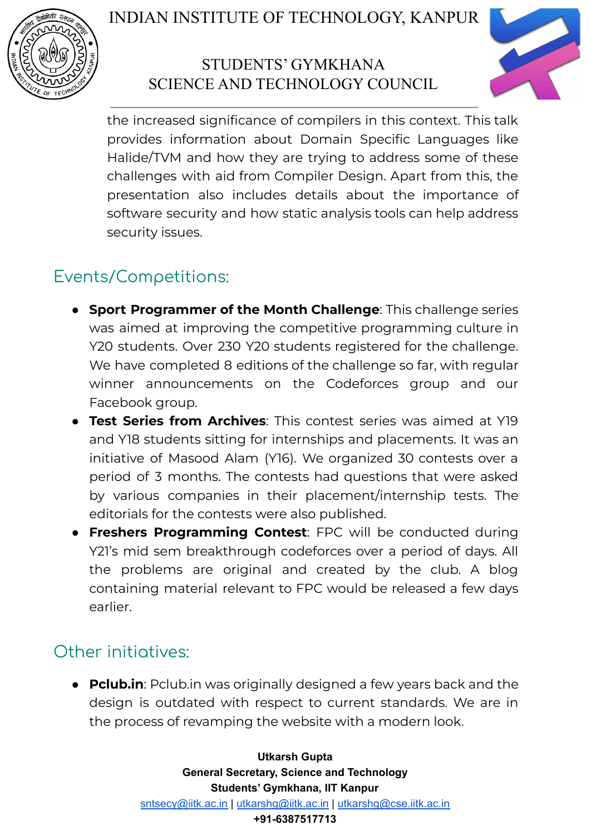

## STUDENTS' GYMKHANA SCIENCE AND TECHNOLOGY COUNCIL



the increased significance of compilers in this context. This talk provides information about Domain Specific Languages like Halide/TVM and how they are trying to address some of these challenges with aid from Compiler Design. Apart from this, the presentation also includes details about the importance of software security and how static analysis tools can help address security issues.

## Events/Competitions:

- **Sport Programmer of the Month Challenge**: This challenge series was aimed at improving the competitive programming culture in Y20 students. Over 230 Y20 students registered for the challenge. We have completed 8 editions of the challenge so far, with regular winner announcements on the Codeforces group and our Facebook group.
- **Test Series from Archives**: This contest series was aimed at Y19 and Y18 students sitting for internships and placements. It was an initiative of Masood Alam (Y16). We organized 30 contests over a period of 3 months. The contests had questions that were asked by various companies in their placement/internship tests. The editorials for the contests were also published.
- **Freshers Programming Contest**: FPC will be conducted during Y21's mid sem breakthrough codeforces over a period of days. All the problems are original and created by the club. A blog containing material relevant to FPC would be released a few days earlier.

## Other initiatives:

● **Pclub.in**: Pclub.in was originally designed a few years back and the design is outdated with respect to current standards. We are in the process of revamping the website with a modern look.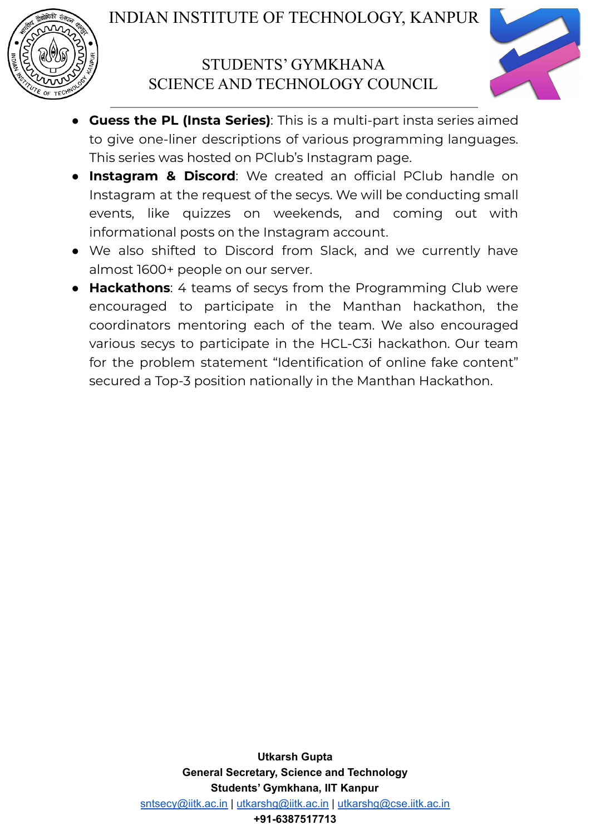



- **Guess the PL (Insta Series)**: This is a multi-part insta series aimed to give one-liner descriptions of various programming languages. This series was hosted on PClub's Instagram page.
- **Instagram & Discord**: We created an official PClub handle on Instagram at the request of the secys. We will be conducting small events, like quizzes on weekends, and coming out with informational posts on the Instagram account.
- We also shifted to Discord from Slack, and we currently have almost 1600+ people on our server.
- **Hackathons**: 4 teams of secys from the Programming Club were encouraged to participate in the Manthan hackathon, the coordinators mentoring each of the team. We also encouraged various secys to participate in the HCL-C3i hackathon. Our team for the problem statement "Identification of online fake content" secured a Top-3 position nationally in the Manthan Hackathon.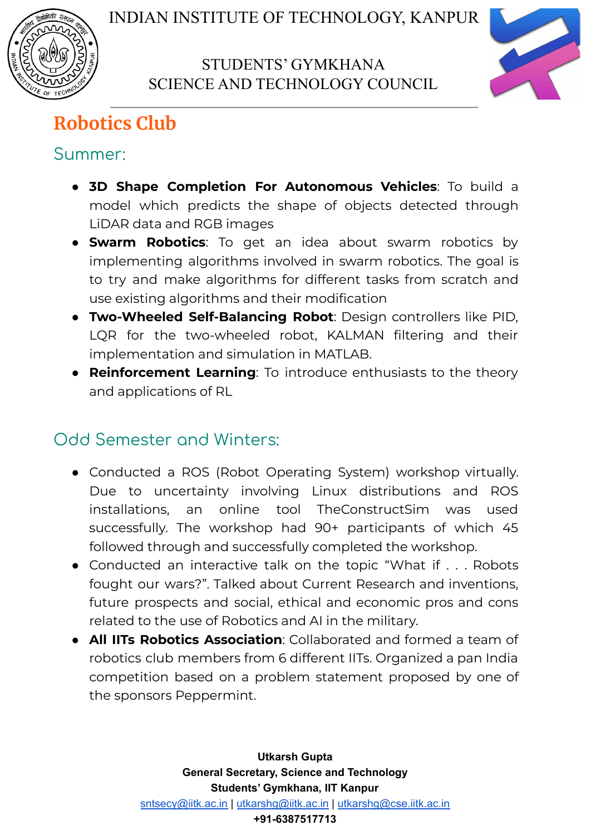



# **Robotics Club**

## Summer:

- **3D Shape Completion For Autonomous Vehicles**: To build a model which predicts the shape of objects detected through LiDAR data and RGB images
- **Swarm Robotics**: To get an idea about swarm robotics by implementing algorithms involved in swarm robotics. The goal is to try and make algorithms for different tasks from scratch and use existing algorithms and their modification
- **Two-Wheeled Self-Balancing Robot**: Design controllers like PID, LQR for the two-wheeled robot, KALMAN filtering and their implementation and simulation in MATLAB.
- **Reinforcement Learning**: To introduce enthusiasts to the theory and applications of RL

## Odd Semester and Winters:

- Conducted a ROS (Robot Operating System) workshop virtually. Due to uncertainty involving Linux distributions and ROS installations, an online tool TheConstructSim was used successfully. The workshop had 90+ participants of which 45 followed through and successfully completed the workshop.
- Conducted an interactive talk on the topic "What if . . . Robots fought our wars?". Talked about Current Research and inventions, future prospects and social, ethical and economic pros and cons related to the use of Robotics and AI in the military.
- **All IITs Robotics Association**: Collaborated and formed a team of robotics club members from 6 different IITs. Organized a pan India competition based on a problem statement proposed by one of the sponsors Peppermint.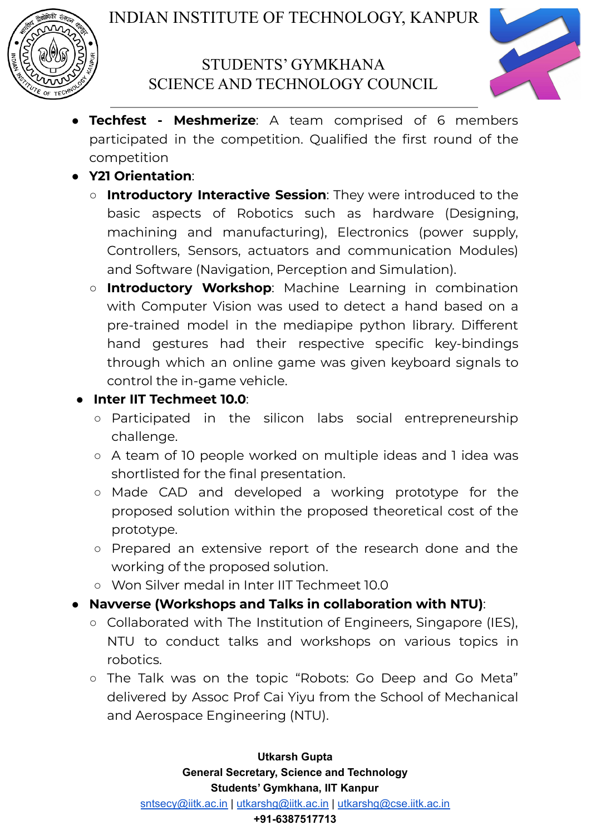



- **Techfest - Meshmerize**: A team comprised of 6 members participated in the competition. Qualified the first round of the competition
- **Y21 Orientation**:
	- **Introductory Interactive Session**: They were introduced to the basic aspects of Robotics such as hardware (Designing, machining and manufacturing), Electronics (power supply, Controllers, Sensors, actuators and communication Modules) and Software (Navigation, Perception and Simulation).
	- **Introductory Workshop**: Machine Learning in combination with Computer Vision was used to detect a hand based on a pre-trained model in the mediapipe python library. Different hand gestures had their respective specific key-bindings through which an online game was given keyboard signals to control the in-game vehicle.
- **Inter IIT Techmeet 10.0**:
	- Participated in the silicon labs social entrepreneurship challenge.
	- A team of 10 people worked on multiple ideas and 1 idea was shortlisted for the final presentation.
	- Made CAD and developed a working prototype for the proposed solution within the proposed theoretical cost of the prototype.
	- Prepared an extensive report of the research done and the working of the proposed solution.
	- Won Silver medal in Inter IIT Techmeet 10.0
- **Navverse (Workshops and Talks in collaboration with NTU)**:
	- Collaborated with The Institution of Engineers, Singapore (IES), NTU to conduct talks and workshops on various topics in robotics.
	- The Talk was on the topic "Robots: Go Deep and Go Meta" delivered by Assoc Prof Cai Yiyu from the School of Mechanical and Aerospace Engineering (NTU).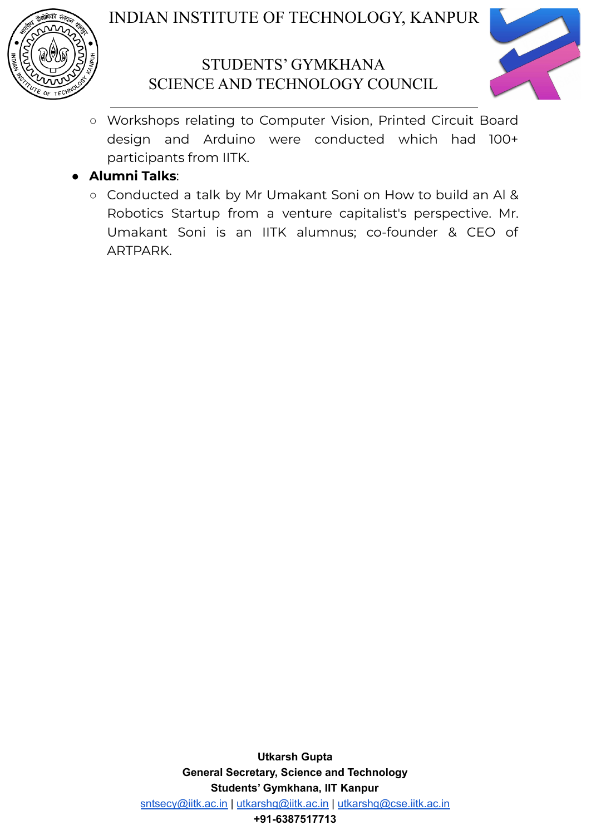

### STUDENTS' GYMKHANA SCIENCE AND TECHNOLOGY COUNCIL



○ Workshops relating to Computer Vision, Printed Circuit Board design and Arduino were conducted which had 100+ participants from IITK.

#### ● **Alumni Talks**:

○ Conducted a talk by Mr Umakant Soni on How to build an Al & Robotics Startup from a venture capitalist's perspective. Mr. Umakant Soni is an IITK alumnus; co-founder & CEO of ARTPARK.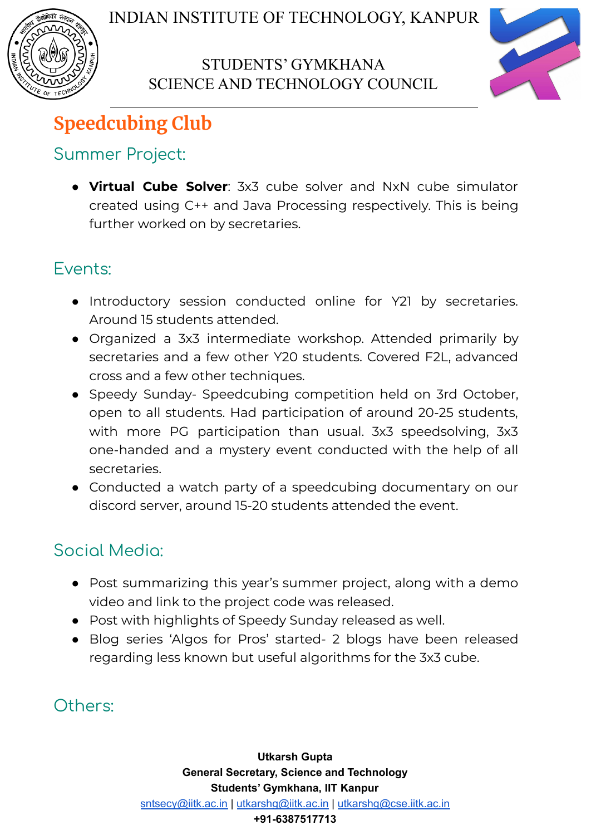



# **Speedcubing Club**

## Summer Project:

● **Virtual Cube Solver**: 3x3 cube solver and NxN cube simulator created using C++ and Java Processing respectively. This is being further worked on by secretaries.

## Events:

- Introductory session conducted online for Y21 by secretaries. Around 15 students attended.
- Organized a 3x3 intermediate workshop. Attended primarily by secretaries and a few other Y20 students. Covered F2L, advanced cross and a few other techniques.
- Speedy Sunday- Speedcubing competition held on 3rd October, open to all students. Had participation of around 20-25 students, with more PG participation than usual. 3x3 speedsolving, 3x3 one-handed and a mystery event conducted with the help of all secretaries.
- Conducted a watch party of a speedcubing documentary on our discord server, around 15-20 students attended the event.

## Social Media:

- Post summarizing this year's summer project, along with a demo video and link to the project code was released.
- Post with highlights of Speedy Sunday released as well.
- Blog series 'Algos for Pros' started- 2 blogs have been released regarding less known but useful algorithms for the 3x3 cube.

Others: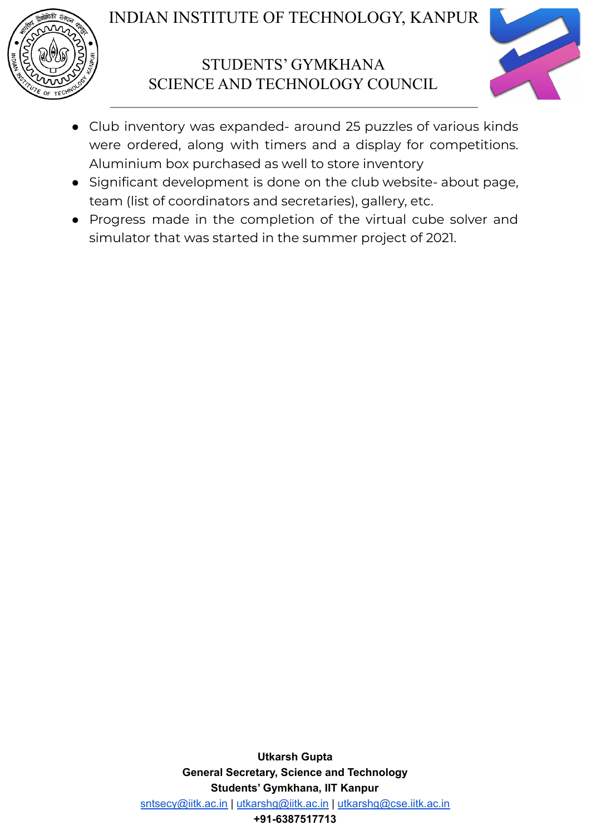

### STUDENTS' GYMKHANA SCIENCE AND TECHNOLOGY COUNCIL



- Club inventory was expanded- around 25 puzzles of various kinds were ordered, along with timers and a display for competitions. Aluminium box purchased as well to store inventory
- Significant development is done on the club website- about page, team (list of coordinators and secretaries), gallery, etc.
- Progress made in the completion of the virtual cube solver and simulator that was started in the summer project of 2021.

**Utkarsh Gupta General Secretary, Science and Technology Students' Gymkhana, IIT Kanpur** [sntsecy@iitk.ac.in](mailto:sntsecy@iitk.ac.in) | [utkarshg@iitk.ac.in](mailto:utkarshg@iitk.ac.in) | [utkarshg@cse.iitk.ac.in](mailto:utkarshg@cse.iitk.ac.in) **+91-6387517713**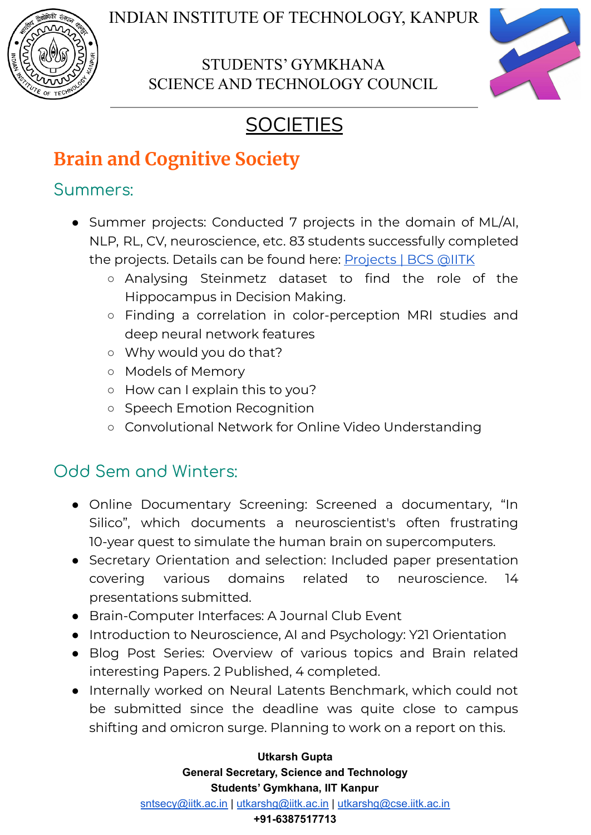

## STUDENTS' GYMKHANA SCIENCE AND TECHNOLOGY COUNCIL



# **SOCIETIES**

# **Brain and Cognitive Society**

## Summers:

- Summer projects: Conducted 7 projects in the domain of ML/AI, NLP, RL, CV, neuroscience, etc. 83 students successfully completed the projects. Details can be found here: [Projects](https://bcs-iitk.github.io/projects/completed) | BCS @IITK
	- Analysing Steinmetz dataset to find the role of the Hippocampus in Decision Making.
	- Finding a correlation in color-perception MRI studies and deep neural network features
	- Why would you do that?
	- Models of Memory
	- How can I explain this to you?
	- Speech Emotion Recognition
	- Convolutional Network for Online Video Understanding

## Odd Sem and Winters:

- Online Documentary Screening: Screened a documentary, "In Silico", which documents a neuroscientist's often frustrating 10-year quest to simulate the human brain on supercomputers.
- Secretary Orientation and selection: Included paper presentation covering various domains related to neuroscience. 14 presentations submitted.
- Brain-Computer Interfaces: A Journal Club Event
- Introduction to Neuroscience, AI and Psychology: Y21 Orientation
- Blog Post Series: Overview of various topics and Brain related interesting Papers. 2 Published, 4 completed.
- Internally worked on Neural Latents Benchmark, which could not be submitted since the deadline was quite close to campus shifting and omicron surge. Planning to work on a report on this.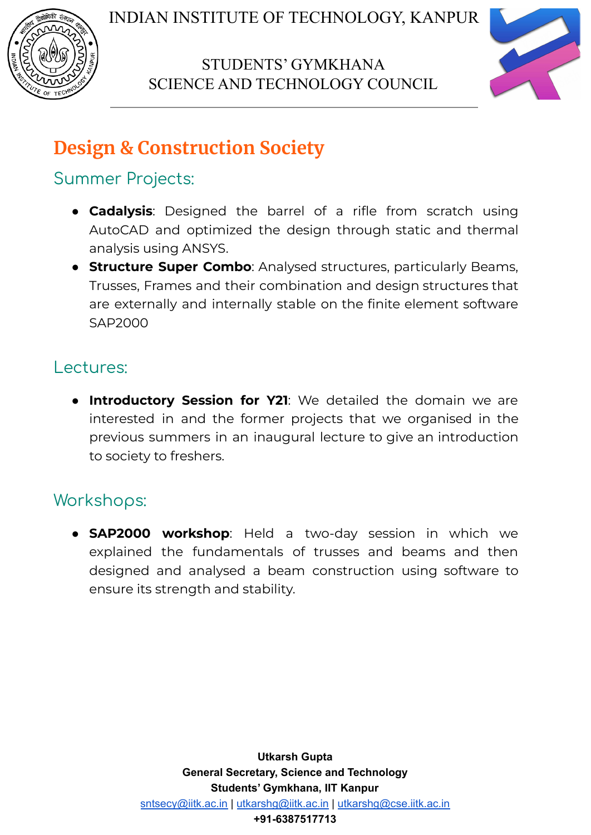

## STUDENTS' GYMKHANA SCIENCE AND TECHNOLOGY COUNCIL



# **Design & Construction Society**

## Summer Projects:

- **Cadalysis**: Designed the barrel of a rifle from scratch using AutoCAD and optimized the design through static and thermal analysis using ANSYS.
- **Structure Super Combo**: Analysed structures, particularly Beams, Trusses, Frames and their combination and design structures that are externally and internally stable on the finite element software SAP2000

### Lectures:

● **Introductory Session for Y21**: We detailed the domain we are interested in and the former projects that we organised in the previous summers in an inaugural lecture to give an introduction to society to freshers.

## Workshops:

● **SAP2000 workshop**: Held a two-day session in which we explained the fundamentals of trusses and beams and then designed and analysed a beam construction using software to ensure its strength and stability.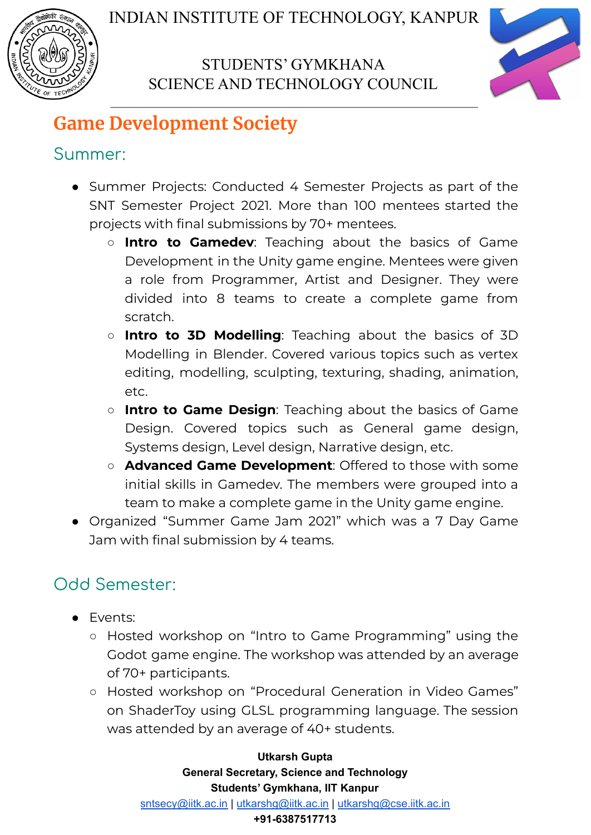



# **Game Development Society**

## Summer:

- Summer Projects: Conducted 4 Semester Projects as part of the SNT Semester Project 2021. More than 100 mentees started the projects with final submissions by 70+ mentees.
	- **Intro to Gamedev**: Teaching about the basics of Game Development in the Unity game engine. Mentees were given a role from Programmer, Artist and Designer. They were divided into 8 teams to create a complete game from scratch.
	- **Intro to 3D Modelling**: Teaching about the basics of 3D Modelling in Blender. Covered various topics such as vertex editing, modelling, sculpting, texturing, shading, animation, etc.
	- **Intro to Game Design**: Teaching about the basics of Game Design. Covered topics such as General game design, Systems design, Level design, Narrative design, etc.
	- **Advanced Game Development**: Offered to those with some initial skills in Gamedev. The members were grouped into a team to make a complete game in the Unity game engine.
- Organized "Summer Game Jam 2021" which was a 7 Day Game Jam with final submission by 4 teams.

## Odd Semester:

- Events:
	- Hosted workshop on "Intro to Game Programming" using the Godot game engine. The workshop was attended by an average of 70+ participants.
	- Hosted workshop on "Procedural Generation in Video Games" on ShaderToy using GLSL programming language. The session was attended by an average of 40+ students.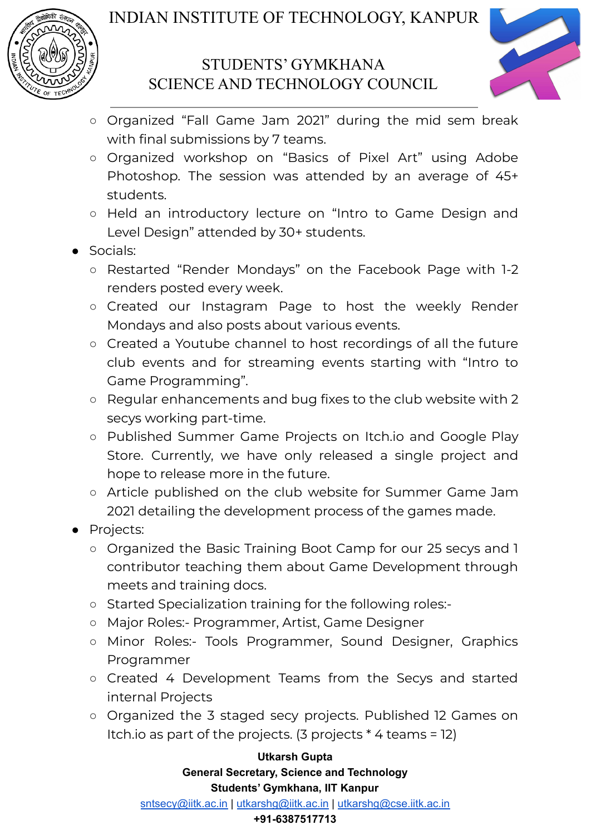

### STUDENTS' GYMKHANA SCIENCE AND TECHNOLOGY COUNCIL



- Organized "Fall Game Jam 2021" during the mid sem break with final submissions by 7 teams.
- Organized workshop on "Basics of Pixel Art" using Adobe Photoshop. The session was attended by an average of 45+ students.
- Held an introductory lecture on "Intro to Game Design and Level Design" attended by 30+ students.
- Socials:
	- Restarted "Render Mondays" on the Facebook Page with 1-2 renders posted every week.
	- Created our Instagram Page to host the weekly Render Mondays and also posts about various events.
	- Created a Youtube channel to host recordings of all the future club events and for streaming events starting with "Intro to Game Programming".
	- Regular enhancements and bug fixes to the club website with 2 secys working part-time.
	- Published Summer Game Projects on Itch.io and Google Play Store. Currently, we have only released a single project and hope to release more in the future.
	- Article published on the club website for Summer Game Jam 2021 detailing the development process of the games made.
- Projects:
	- Organized the Basic Training Boot Camp for our 25 secys and 1 contributor teaching them about Game Development through meets and training docs.
	- Started Specialization training for the following roles:-
	- Major Roles:- Programmer, Artist, Game Designer
	- Minor Roles:- Tools Programmer, Sound Designer, Graphics Programmer
	- Created 4 Development Teams from the Secys and started internal Projects
	- Organized the 3 staged secy projects. Published 12 Games on Itch.io as part of the projects. (3 projects \* 4 teams = 12)

#### **Utkarsh Gupta General Secretary, Science and Technology Students' Gymkhana, IIT Kanpur**

[sntsecy@iitk.ac.in](mailto:sntsecy@iitk.ac.in) | [utkarshg@iitk.ac.in](mailto:utkarshg@iitk.ac.in) | [utkarshg@cse.iitk.ac.in](mailto:utkarshg@cse.iitk.ac.in)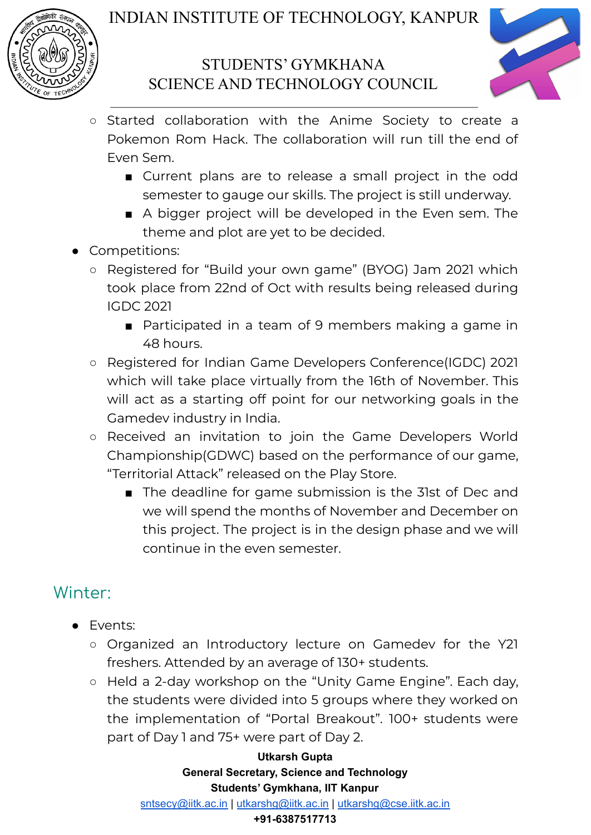



- Started collaboration with the Anime Society to create a Pokemon Rom Hack. The collaboration will run till the end of Even Sem.
	- Current plans are to release a small project in the odd semester to gauge our skills. The project is still underway.
	- A bigger project will be developed in the Even sem. The theme and plot are yet to be decided.
- Competitions:
	- Registered for "Build your own game" (BYOG) Jam 2021 which took place from 22nd of Oct with results being released during IGDC 2021
		- Participated in a team of 9 members making a game in 48 hours.
	- Registered for Indian Game Developers Conference(IGDC) 2021 which will take place virtually from the 16th of November. This will act as a starting off point for our networking goals in the Gamedev industry in India.
	- Received an invitation to join the Game Developers World Championship(GDWC) based on the performance of our game, "Territorial Attack" released on the Play Store.
		- The deadline for game submission is the 31st of Dec and we will spend the months of November and December on this project. The project is in the design phase and we will continue in the even semester.

## Winter:

- Events:
	- Organized an Introductory lecture on Gamedev for the Y21 freshers. Attended by an average of 130+ students.
	- Held a 2-day workshop on the "Unity Game Engine". Each day, the students were divided into 5 groups where they worked on the implementation of "Portal Breakout". 100+ students were part of Day 1 and 75+ were part of Day 2.

#### **Utkarsh Gupta General Secretary, Science and Technology Students' Gymkhana, IIT Kanpur**

[sntsecy@iitk.ac.in](mailto:sntsecy@iitk.ac.in) | [utkarshg@iitk.ac.in](mailto:utkarshg@iitk.ac.in) | [utkarshg@cse.iitk.ac.in](mailto:utkarshg@cse.iitk.ac.in)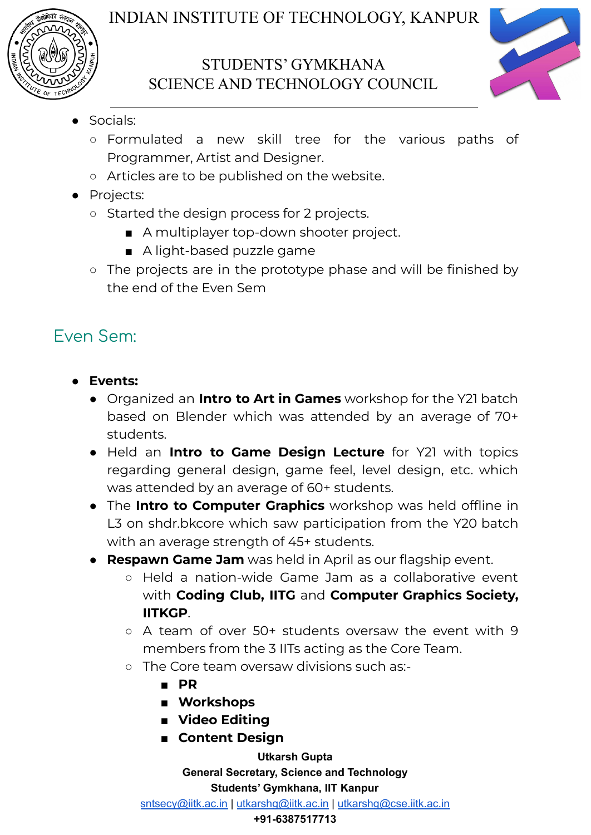



- Socials:
	- Formulated a new skill tree for the various paths of Programmer, Artist and Designer.
	- Articles are to be published on the website.
- Projects:
	- Started the design process for 2 projects.
		- A multiplayer top-down shooter project.
		- A light-based puzzle game
	- The projects are in the prototype phase and will be finished by the end of the Even Sem

## Even Sem:

- **● Events:**
	- Organized an **Intro to Art in Games** workshop for the Y21 batch based on Blender which was attended by an average of 70+ students.
	- Held an **Intro to Game Design Lecture** for Y21 with topics regarding general design, game feel, level design, etc. which was attended by an average of 60+ students.
	- The **Intro to Computer Graphics** workshop was held offline in L3 on shdr.bkcore which saw participation from the Y20 batch with an average strength of 45+ students.
	- **Respawn Game Jam** was held in April as our flagship event.
		- Held a nation-wide Game Jam as a collaborative event with **Coding Club, IITG** and **Computer Graphics Society, IITKGP**.
		- A team of over 50+ students oversaw the event with 9 members from the 3 IITs acting as the Core Team.
		- The Core team oversaw divisions such as:-
			- **■ PR**
			- **■ Workshops**
			- **■ Video Editing**
			- **■ Content Design**

**Utkarsh Gupta General Secretary, Science and Technology Students' Gymkhana, IIT Kanpur**

[sntsecy@iitk.ac.in](mailto:sntsecy@iitk.ac.in) | [utkarshg@iitk.ac.in](mailto:utkarshg@iitk.ac.in) | [utkarshg@cse.iitk.ac.in](mailto:utkarshg@cse.iitk.ac.in)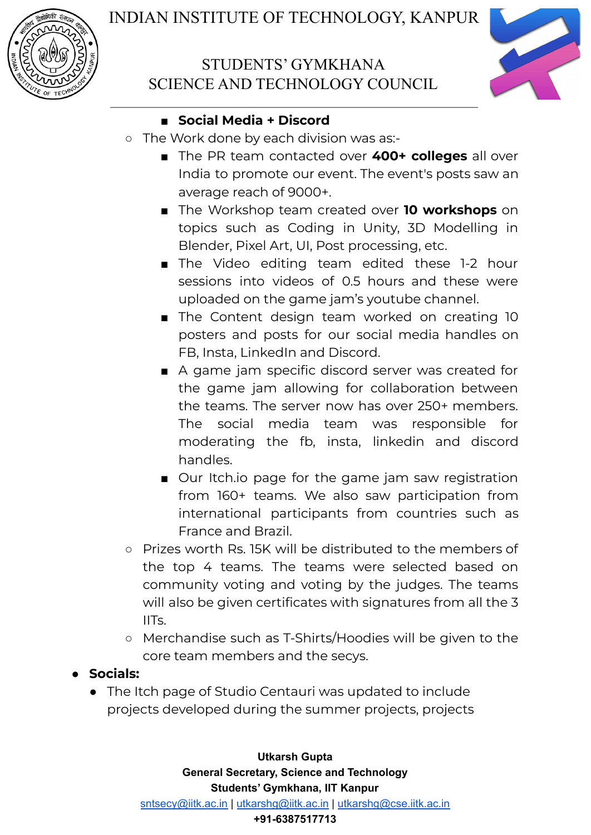



#### **■ Social Media + Discord**

- The Work done by each division was as:-
	- The PR team contacted over 400+ colleges all over India to promote our event. The event's posts saw an average reach of 9000+.
	- The Workshop team created over **10 workshops** on topics such as Coding in Unity, 3D Modelling in Blender, Pixel Art, UI, Post processing, etc.
	- The Video editing team edited these 1-2 hour sessions into videos of 0.5 hours and these were uploaded on the game jam's youtube channel.
	- The Content design team worked on creating 10 posters and posts for our social media handles on FB, Insta, LinkedIn and Discord.
	- A game jam specific discord server was created for the game jam allowing for collaboration between the teams. The server now has over 250+ members. The social media team was responsible for moderating the fb, insta, linkedin and discord handles.
	- Our Itch.io page for the game jam saw registration from 160+ teams. We also saw participation from international participants from countries such as France and Brazil.
- Prizes worth Rs. 15K will be distributed to the members of the top 4 teams. The teams were selected based on community voting and voting by the judges. The teams will also be given certificates with signatures from all the 3 IITs.
- Merchandise such as T-Shirts/Hoodies will be given to the core team members and the secys.
- **● Socials:**
	- The Itch page of Studio Centauri was updated to include projects developed during the summer projects, projects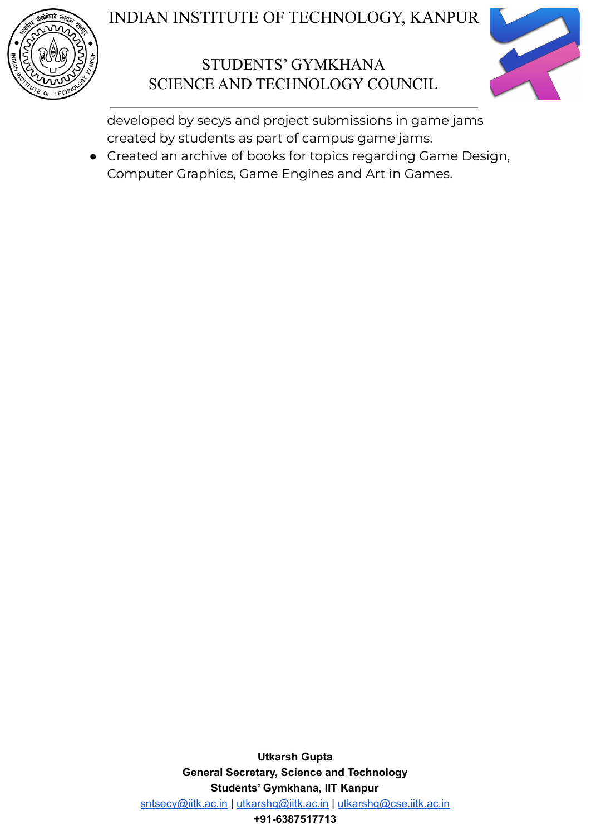

## STUDENTS' GYMKHANA SCIENCE AND TECHNOLOGY COUNCIL



developed by secys and project submissions in game jams created by students as part of campus game jams.

● Created an archive of books for topics regarding Game Design, Computer Graphics, Game Engines and Art in Games.

> **Utkarsh Gupta General Secretary, Science and Technology Students' Gymkhana, IIT Kanpur** [sntsecy@iitk.ac.in](mailto:sntsecy@iitk.ac.in) | [utkarshg@iitk.ac.in](mailto:utkarshg@iitk.ac.in) | [utkarshg@cse.iitk.ac.in](mailto:utkarshg@cse.iitk.ac.in) **+91-6387517713**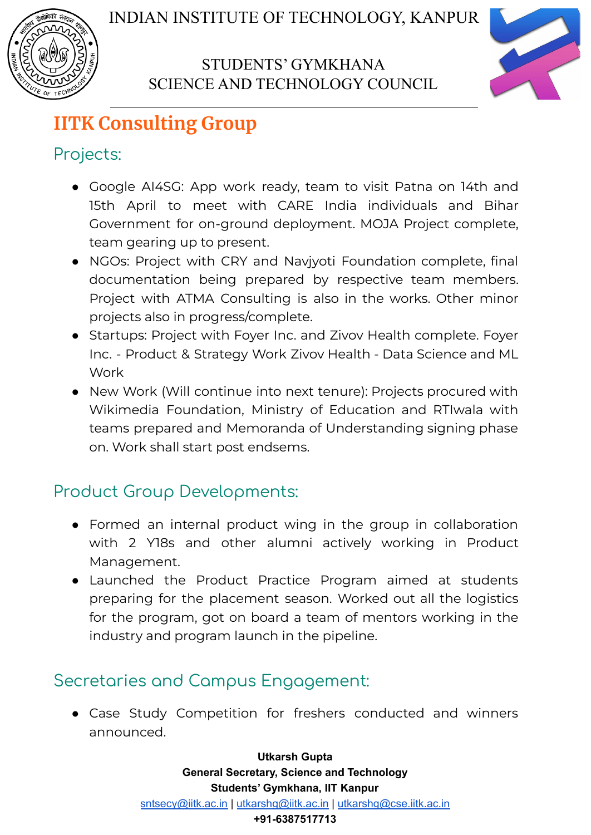



# **IITK Consulting Group**

## Projects:

- Google AI4SG: App work ready, team to visit Patna on 14th and 15th April to meet with CARE India individuals and Bihar Government for on-ground deployment. MOJA Project complete, team gearing up to present.
- NGOs: Project with CRY and Navjyoti Foundation complete, final documentation being prepared by respective team members. Project with ATMA Consulting is also in the works. Other minor projects also in progress/complete.
- Startups: Project with Foyer Inc. and Zivov Health complete. Foyer Inc. - Product & Strategy Work Zivov Health - Data Science and ML Work
- New Work (Will continue into next tenure): Projects procured with Wikimedia Foundation, Ministry of Education and RTIwala with teams prepared and Memoranda of Understanding signing phase on. Work shall start post endsems.

# Product Group Developments:

- Formed an internal product wing in the group in collaboration with 2 Y18s and other alumni actively working in Product Management.
- Launched the Product Practice Program aimed at students preparing for the placement season. Worked out all the logistics for the program, got on board a team of mentors working in the industry and program launch in the pipeline.

## Secretaries and Campus Engagement:

● Case Study Competition for freshers conducted and winners announced.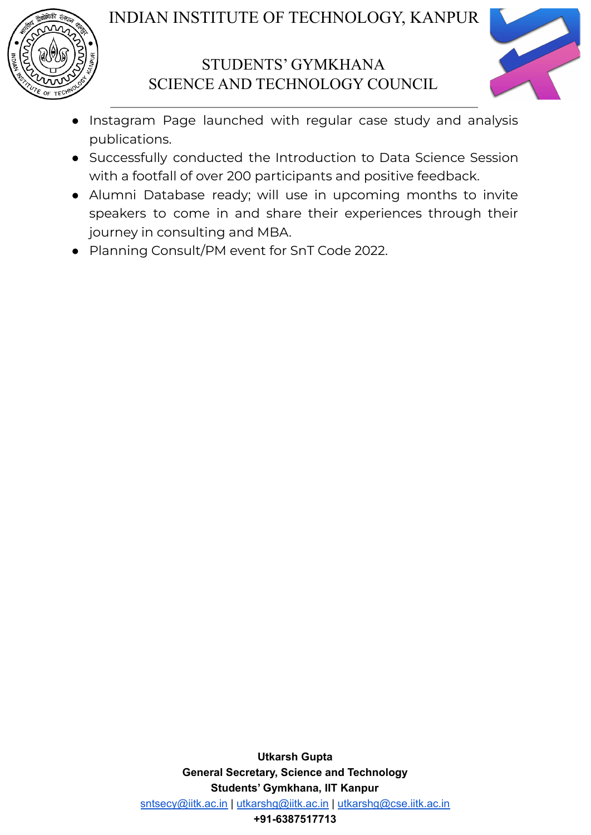



- Instagram Page launched with regular case study and analysis publications.
- Successfully conducted the Introduction to Data Science Session with a footfall of over 200 participants and positive feedback.
- Alumni Database ready; will use in upcoming months to invite speakers to come in and share their experiences through their journey in consulting and MBA.
- Planning Consult/PM event for SnT Code 2022.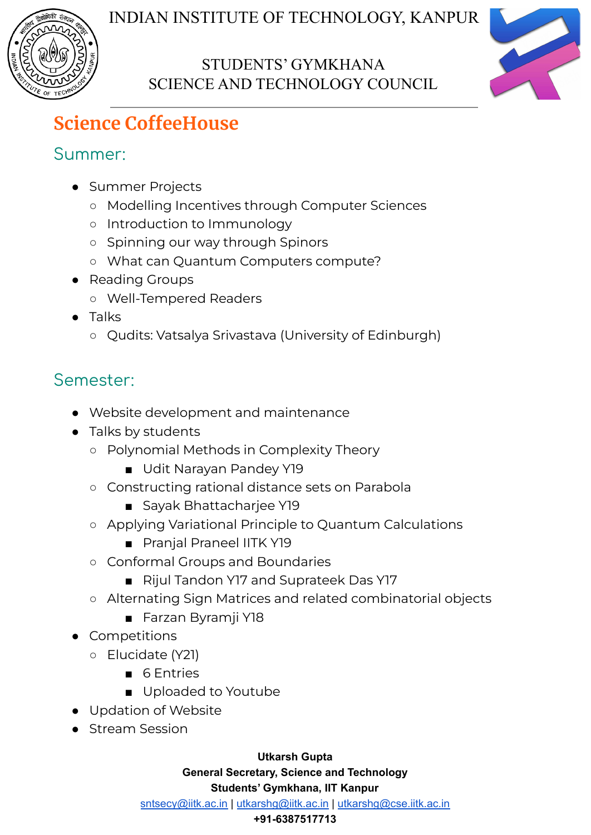



# **Science CoffeeHouse**

## Summer:

- Summer Projects
	- Modelling Incentives through Computer Sciences
	- Introduction to Immunology
	- Spinning our way through Spinors
	- What can Quantum Computers compute?
- Reading Groups
	- Well-Tempered Readers
- Talks
	- Qudits: Vatsalya Srivastava (University of Edinburgh)

# Semester:

- Website development and maintenance
- Talks by students
	- Polynomial Methods in Complexity Theory
		- Udit Narayan Pandey Y19
	- Constructing rational distance sets on Parabola
		- Sayak Bhattacharjee Y19
	- Applying Variational Principle to Quantum Calculations
		- Pranjal Praneel IITK Y19
	- Conformal Groups and Boundaries
		- Rijul Tandon Y17 and Suprateek Das Y17
	- Alternating Sign Matrices and related combinatorial objects
		- Farzan Byramji Y18
- **Competitions** 
	- Elucidate (Y21)
		- 6 Entries
		- Uploaded to Youtube
- Updation of Website
- Stream Session

**Utkarsh Gupta**

**General Secretary, Science and Technology**

#### **Students' Gymkhana, IIT Kanpur**

[sntsecy@iitk.ac.in](mailto:sntsecy@iitk.ac.in) | [utkarshg@iitk.ac.in](mailto:utkarshg@iitk.ac.in) | [utkarshg@cse.iitk.ac.in](mailto:utkarshg@cse.iitk.ac.in)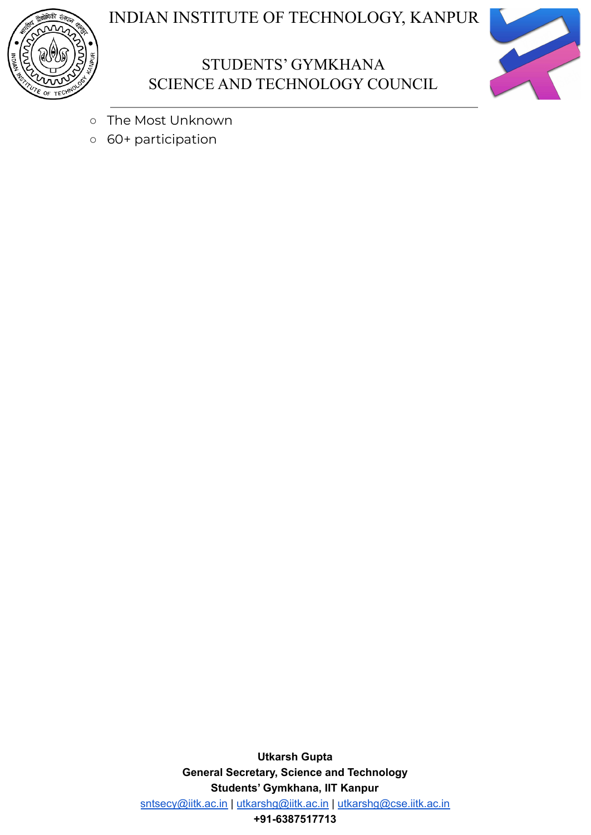





- The Most Unknown
- 60+ participation

**Utkarsh Gupta General Secretary, Science and Technology Students' Gymkhana, IIT Kanpur** [sntsecy@iitk.ac.in](mailto:sntsecy@iitk.ac.in) | [utkarshg@iitk.ac.in](mailto:utkarshg@iitk.ac.in) | [utkarshg@cse.iitk.ac.in](mailto:utkarshg@cse.iitk.ac.in) **+91-6387517713**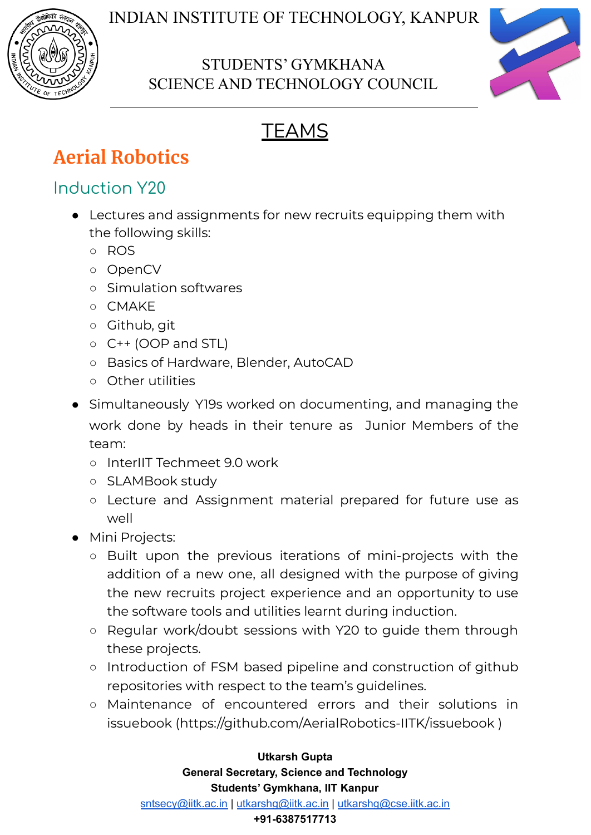

## STUDENTS' GYMKHANA SCIENCE AND TECHNOLOGY COUNCIL



# **TEAMS**

# **Aerial Robotics**

## Induction Y20

- Lectures and assignments for new recruits equipping them with the following skills:
	- ROS
	- OpenCV
	- Simulation softwares
	- CMAKE
	- Github, git
	- C++ (OOP and STL)
	- Basics of Hardware, Blender, AutoCAD
	- Other utilities
- Simultaneously Y19s worked on documenting, and managing the work done by heads in their tenure as Junior Members of the team:
	- InterIIT Techmeet 9.0 work
	- SLAMBook study
	- Lecture and Assignment material prepared for future use as well
- Mini Projects:
	- Built upon the previous iterations of mini-projects with the addition of a new one, all designed with the purpose of giving the new recruits project experience and an opportunity to use the software tools and utilities learnt during induction.
	- Regular work/doubt sessions with Y20 to guide them through these projects.
	- Introduction of FSM based pipeline and construction of github repositories with respect to the team's guidelines.
	- Maintenance of encountered errors and their solutions in issuebook [\(https://github.com/AerialRobotics-IITK/issuebook](https://github.com/AerialRobotics-IITK/issuebook) )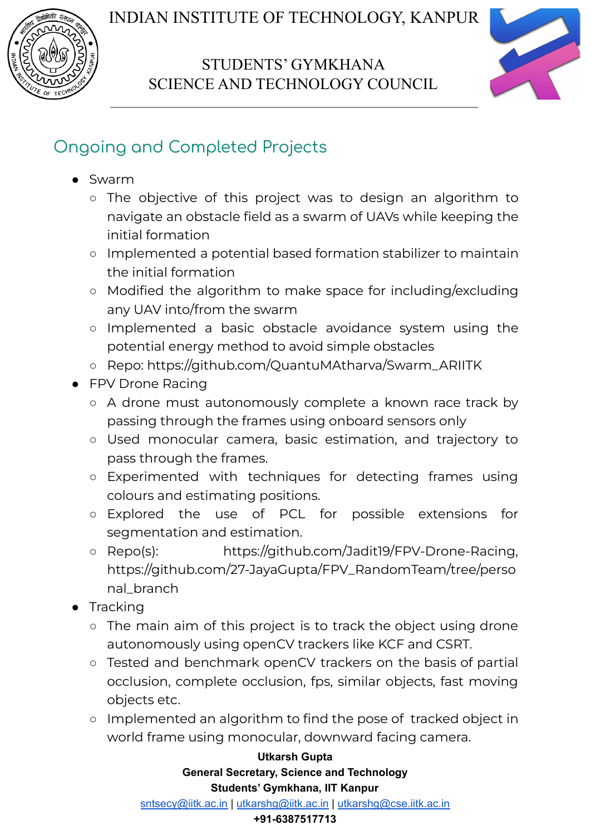

### STUDENTS' GYMKHANA SCIENCE AND TECHNOLOGY COUNCIL



## Ongoing and Completed Projects

- Swarm
	- The objective of this project was to design an algorithm to navigate an obstacle field as a swarm of UAVs while keeping the initial formation
	- Implemented a potential based formation stabilizer to maintain the initial formation
	- Modified the algorithm to make space for including/excluding any UAV into/from the swarm
	- Implemented a basic obstacle avoidance system using the potential energy method to avoid simple obstacles
	- Repo: [https://github.com/QuantuMAtharva/Swarm\\_ARIITK](https://github.com/QuantuMAtharva/Swarm_ARIITK)
- FPV Drone Racing
	- A drone must autonomously complete a known race track by passing through the frames using onboard sensors only
	- Used monocular camera, basic estimation, and trajectory to pass through the frames.
	- Experimented with techniques for detecting frames using colours and estimating positions.
	- Explored the use of PCL for possible extensions for segmentation and estimation.
	- Repo(s): [https://github.com/Jadit19/FPV-Drone-Racing,](https://github.com/Jadit19/FPV-Drone-Racing) [https://github.com/27-JayaGupta/FPV\\_RandomTeam/tree/perso](https://github.com/27-JayaGupta/FPV_RandomTeam/tree/personal_branch) [nal\\_branch](https://github.com/27-JayaGupta/FPV_RandomTeam/tree/personal_branch)
- Tracking
	- The main aim of this project is to track the object using drone autonomously using openCV trackers like KCF and CSRT.
	- Tested and benchmark openCV trackers on the basis of partial occlusion, complete occlusion, fps, similar objects, fast moving objects etc.
	- Implemented an algorithm to find the pose of tracked object in world frame using monocular, downward facing camera.

#### **Utkarsh Gupta General Secretary, Science and Technology Students' Gymkhana, IIT Kanpur**

[sntsecy@iitk.ac.in](mailto:sntsecy@iitk.ac.in) | [utkarshg@iitk.ac.in](mailto:utkarshg@iitk.ac.in) | [utkarshg@cse.iitk.ac.in](mailto:utkarshg@cse.iitk.ac.in)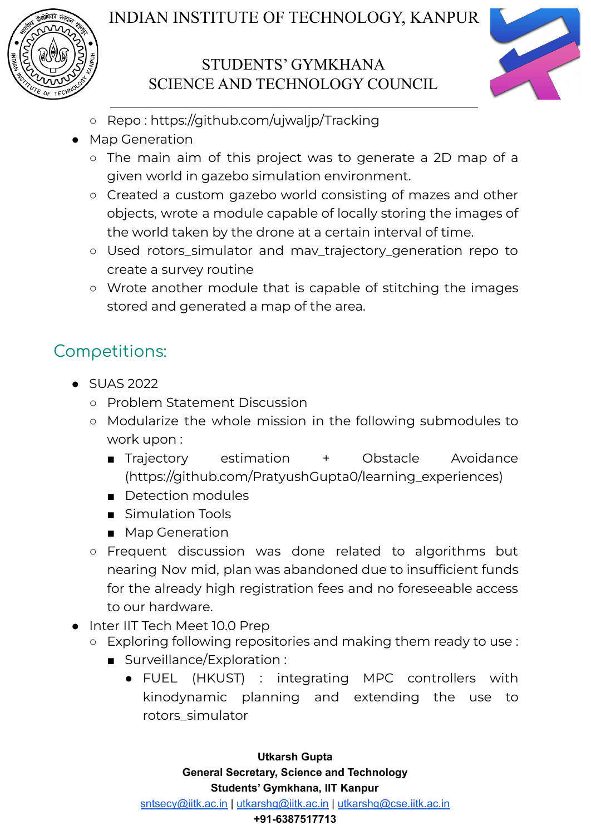

## STUDENTS' GYMKHANA SCIENCE AND TECHNOLOGY COUNCIL



- Repo : <https://github.com/ujwaljp/Tracking>
- **Map Generation** 
	- The main aim of this project was to generate a 2D map of a given world in gazebo simulation environment.
	- Created a custom gazebo world consisting of mazes and other objects, wrote a module capable of locally storing the images of the world taken by the drone at a certain interval of time.
	- Used rotors\_simulator and mav\_trajectory\_generation repo to create a survey routine
	- Wrote another module that is capable of stitching the images stored and generated a map of the area.

## Competitions:

- SUAS 2022
	- Problem Statement Discussion
	- Modularize the whole mission in the following submodules to work upon :
		- Trajectory estimation + Obstacle Avoidance [\(https://github.com/PratyushGupta0/learning\\_experiences](https://github.com/PratyushGupta0/learning_experiences))
		- Detection modules
		- Simulation Tools
		- Map Generation
	- Frequent discussion was done related to algorithms but nearing Nov mid, plan was abandoned due to insufficient funds for the already high registration fees and no foreseeable access to our hardware.
- Inter IIT Tech Meet 10.0 Prep
	- Exploring following repositories and making them ready to use :
		- Surveillance/Exploration :
			- FUEL (HKUST) : integrating MPC controllers with kinodynamic planning and extending the use to rotors\_simulator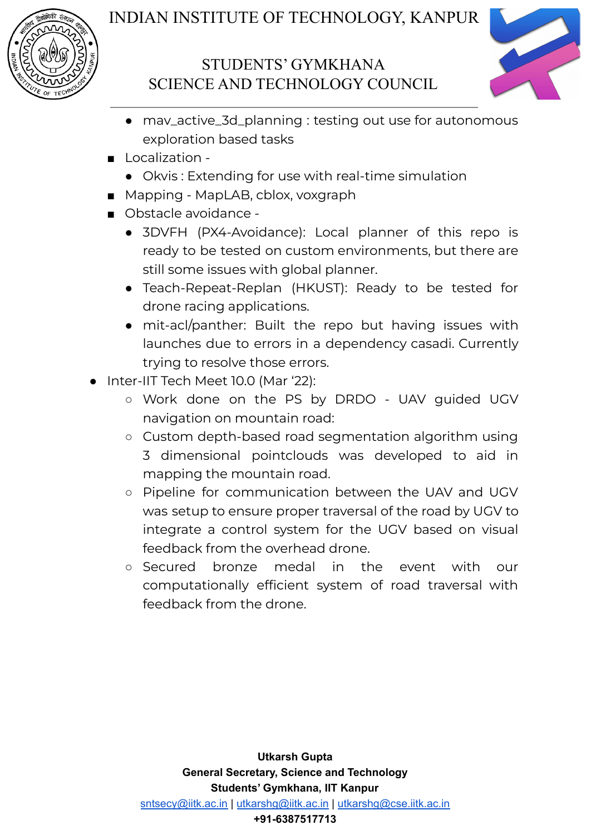



- mav\_active\_3d\_planning : testing out use for autonomous exploration based tasks
- Localization -
	- Okvis : Extending for use with real-time simulation
- Mapping MapLAB, cblox, voxgraph
- Obstacle avoidance -
	- 3DVFH (PX4-Avoidance): Local planner of this repo is ready to be tested on custom environments, but there are still some issues with global planner.
	- Teach-Repeat-Replan (HKUST): Ready to be tested for drone racing applications.
	- mit-acl/panther: Built the repo but having issues with launches due to errors in a dependency casadi. Currently trying to resolve those errors.
- Inter-IIT Tech Meet 10.0 (Mar '22):
	- Work done on the PS by DRDO UAV guided UGV navigation on mountain road:
	- Custom depth-based road segmentation algorithm using 3 dimensional pointclouds was developed to aid in mapping the mountain road.
	- Pipeline for communication between the UAV and UGV was setup to ensure proper traversal of the road by UGV to integrate a control system for the UGV based on visual feedback from the overhead drone.
	- Secured bronze medal in the event with our computationally efficient system of road traversal with feedback from the drone.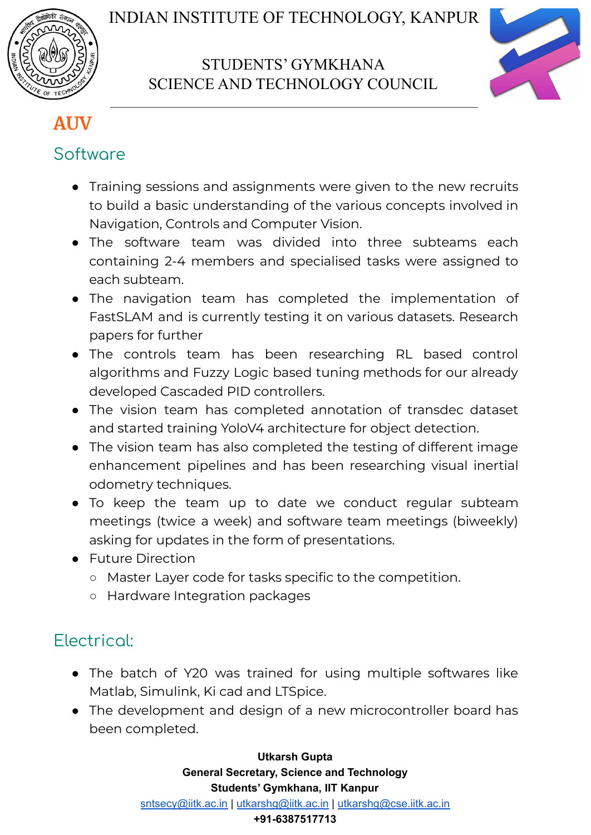



## **AUV**

## Software

- Training sessions and assignments were given to the new recruits to build a basic understanding of the various concepts involved in Navigation, Controls and Computer Vision.
- The software team was divided into three subteams each containing 2-4 members and specialised tasks were assigned to each subteam.
- The navigation team has completed the implementation of FastSLAM and is currently testing it on various datasets. Research papers for further
- The controls team has been researching RL based control algorithms and Fuzzy Logic based tuning methods for our already developed Cascaded PID controllers.
- The vision team has completed annotation of transdec dataset and started training YoloV4 architecture for object detection.
- The vision team has also completed the testing of different image enhancement pipelines and has been researching visual inertial odometry techniques.
- To keep the team up to date we conduct regular subteam meetings (twice a week) and software team meetings (biweekly) asking for updates in the form of presentations.
- Future Direction
	- Master Layer code for tasks specific to the competition.
	- Hardware Integration packages

## Electrical:

- The batch of Y20 was trained for using multiple softwares like Matlab, Simulink, Ki cad and LTSpice.
- The development and design of a new microcontroller board has been completed.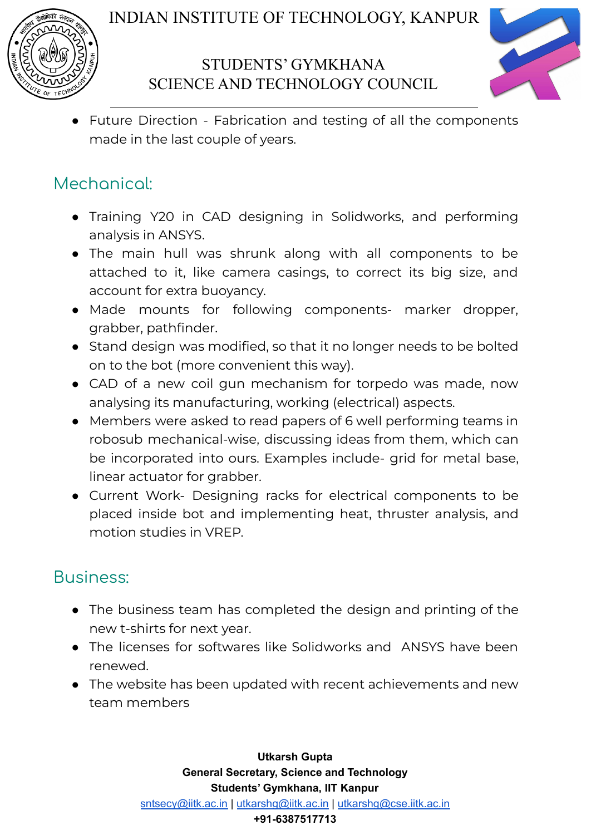

### STUDENTS' GYMKHANA SCIENCE AND TECHNOLOGY COUNCIL



● Future Direction - Fabrication and testing of all the components made in the last couple of years.

## Mechanical:

- Training Y20 in CAD designing in Solidworks, and performing analysis in ANSYS.
- The main hull was shrunk along with all components to be attached to it, like camera casings, to correct its big size, and account for extra buoyancy.
- Made mounts for following components- marker dropper, grabber, pathfinder.
- Stand design was modified, so that it no longer needs to be bolted on to the bot (more convenient this way).
- CAD of a new coil gun mechanism for torpedo was made, now analysing its manufacturing, working (electrical) aspects.
- Members were asked to read papers of 6 well performing teams in robosub mechanical-wise, discussing ideas from them, which can be incorporated into ours. Examples include- grid for metal base, linear actuator for grabber.
- Current Work- Designing racks for electrical components to be placed inside bot and implementing heat, thruster analysis, and motion studies in VREP.

### Business:

- The business team has completed the design and printing of the new t-shirts for next year.
- The licenses for softwares like Solidworks and ANSYS have been renewed.
- The website has been updated with recent achievements and new team members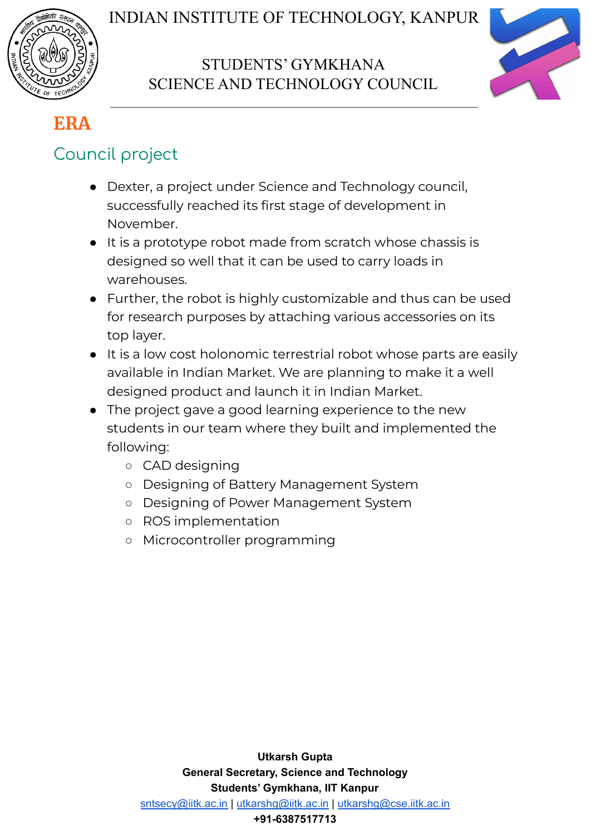



## **ERA**

## Council project

- Dexter, a project under Science and Technology council, successfully reached its first stage of development in November.
- It is a prototype robot made from scratch whose chassis is designed so well that it can be used to carry loads in warehouses.
- Further, the robot is highly customizable and thus can be used for research purposes by attaching various accessories on its top layer.
- It is a low cost holonomic terrestrial robot whose parts are easily available in Indian Market. We are planning to make it a well designed product and launch it in Indian Market.
- The project gave a good learning experience to the new students in our team where they built and implemented the following:
	- CAD designing
	- Designing of Battery Management System
	- Designing of Power Management System
	- ROS implementation
	- Microcontroller programming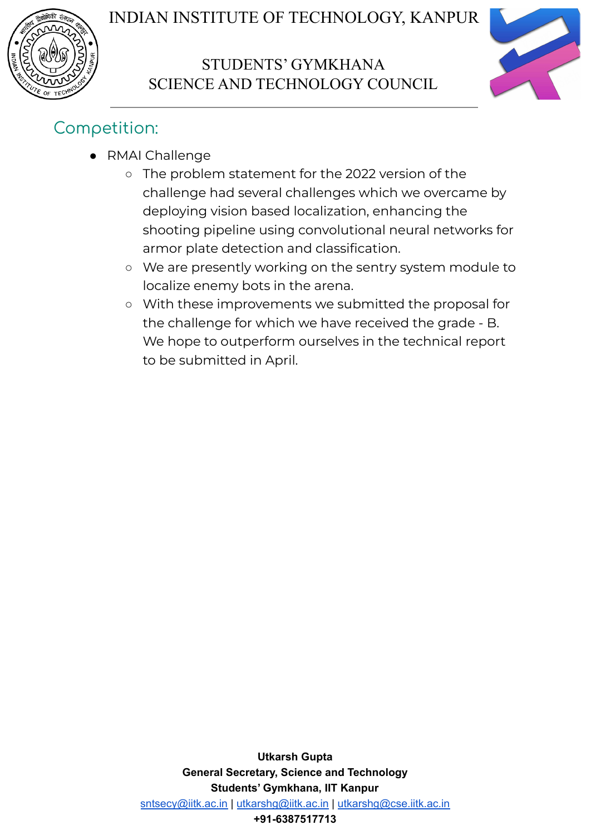



## Competition:

- RMAI Challenge
	- The problem statement for the 2022 version of the challenge had several challenges which we overcame by deploying vision based localization, enhancing the shooting pipeline using convolutional neural networks for armor plate detection and classification.
	- We are presently working on the sentry system module to localize enemy bots in the arena.
	- With these improvements we submitted the proposal for the challenge for which we have received the grade - B. We hope to outperform ourselves in the technical report to be submitted in April.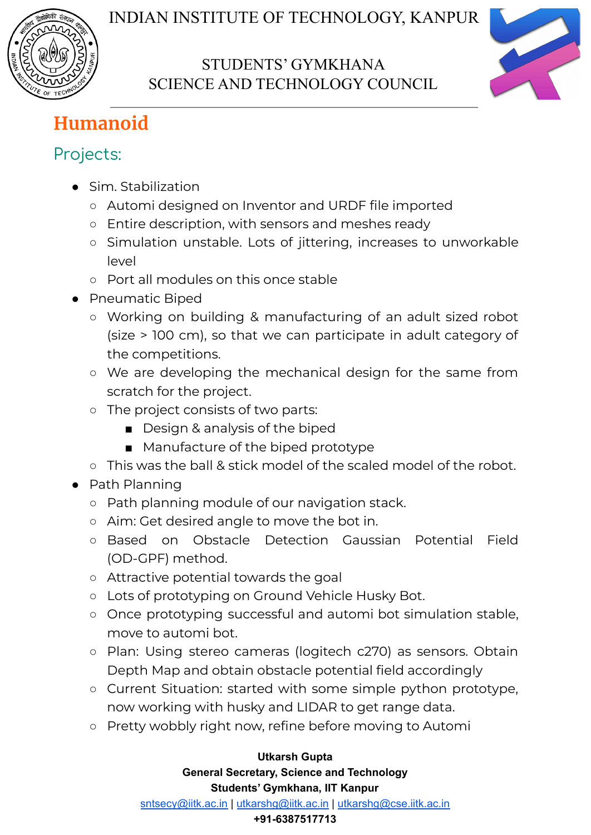



# **Humanoid**

## Projects:

- Sim. Stabilization
	- Automi designed on Inventor and URDF file imported
	- Entire description, with sensors and meshes ready
	- Simulation unstable. Lots of jittering, increases to unworkable level
	- Port all modules on this once stable
- Pneumatic Biped
	- Working on building & manufacturing of an adult sized robot (size > 100 cm), so that we can participate in adult category of the competitions.
	- We are developing the mechanical design for the same from scratch for the project.
	- The project consists of two parts:
		- Design & analysis of the biped
		- Manufacture of the biped prototype
	- This was the ball & stick model of the scaled model of the robot.
- Path Planning
	- Path planning module of our navigation stack.
	- Aim: Get desired angle to move the bot in.
	- Based on Obstacle Detection Gaussian Potential Field (OD-GPF) method.
	- Attractive potential towards the goal
	- Lots of prototyping on Ground Vehicle Husky Bot.
	- Once prototyping successful and automi bot simulation stable, move to automi bot.
	- Plan: Using stereo cameras (logitech c270) as sensors. Obtain Depth Map and obtain obstacle potential field accordingly
	- Current Situation: started with some simple python prototype, now working with husky and LIDAR to get range data.
	- Pretty wobbly right now, refine before moving to Automi

#### **Utkarsh Gupta**

#### **General Secretary, Science and Technology Students' Gymkhana, IIT Kanpur**

[sntsecy@iitk.ac.in](mailto:sntsecy@iitk.ac.in) | [utkarshg@iitk.ac.in](mailto:utkarshg@iitk.ac.in) | [utkarshg@cse.iitk.ac.in](mailto:utkarshg@cse.iitk.ac.in)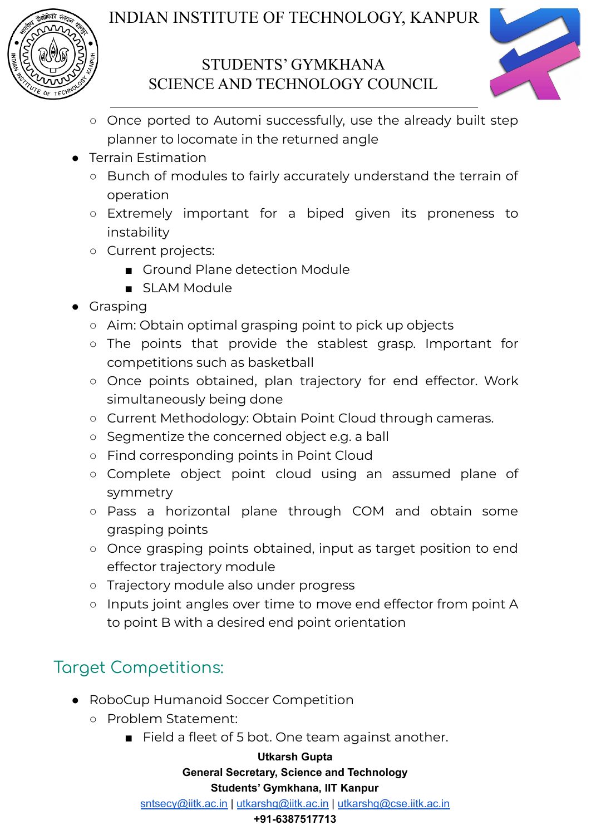

### STUDENTS' GYMKHANA SCIENCE AND TECHNOLOGY COUNCIL



- Once ported to Automi successfully, use the already built step planner to locomate in the returned angle
- **Terrain Estimation** 
	- Bunch of modules to fairly accurately understand the terrain of operation
	- Extremely important for a biped given its proneness to instability
	- Current projects:
		- Ground Plane detection Module
		- SLAM Module
- Grasping
	- Aim: Obtain optimal grasping point to pick up objects
	- The points that provide the stablest grasp. Important for competitions such as basketball
	- Once points obtained, plan trajectory for end effector. Work simultaneously being done
	- Current Methodology: Obtain Point Cloud through cameras.
	- Segmentize the concerned object e.g. a ball
	- Find corresponding points in Point Cloud
	- Complete object point cloud using an assumed plane of symmetry
	- Pass a horizontal plane through COM and obtain some grasping points
	- Once grasping points obtained, input as target position to end effector trajectory module
	- Trajectory module also under progress
	- Inputs joint angles over time to move end effector from point A to point B with a desired end point orientation

# Target Competitions:

- RoboCup Humanoid Soccer Competition
	- Problem Statement:
		- Field a fleet of 5 bot. One team against another.

#### **Utkarsh Gupta**

**General Secretary, Science and Technology**

#### **Students' Gymkhana, IIT Kanpur**

[sntsecy@iitk.ac.in](mailto:sntsecy@iitk.ac.in) | [utkarshg@iitk.ac.in](mailto:utkarshg@iitk.ac.in) | [utkarshg@cse.iitk.ac.in](mailto:utkarshg@cse.iitk.ac.in)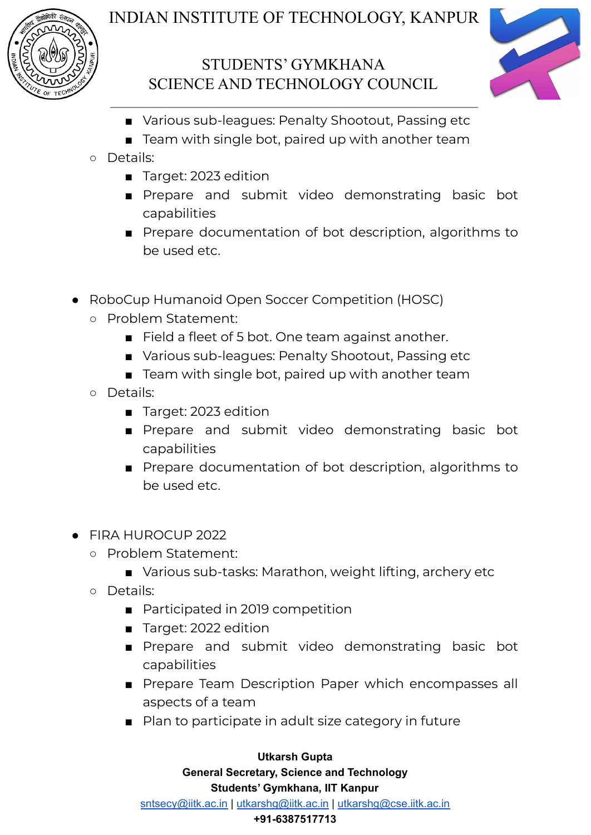

## STUDENTS' GYMKHANA SCIENCE AND TECHNOLOGY COUNCIL



- Various sub-leagues: Penalty Shootout, Passing etc
- Team with single bot, paired up with another team
- Details:
	- Target: 2023 edition
	- Prepare and submit video demonstrating basic bot capabilities
	- Prepare documentation of bot description, algorithms to be used etc.
- RoboCup Humanoid Open Soccer Competition (HOSC)
	- Problem Statement:
		- Field a fleet of 5 bot. One team against another.
		- Various sub-leagues: Penalty Shootout, Passing etc
		- Team with single bot, paired up with another team
	- Details:
		- Target: 2023 edition
		- Prepare and submit video demonstrating basic bot capabilities
		- Prepare documentation of bot description, algorithms to be used etc.
- FIRA HUROCUP 2022
	- Problem Statement:
		- Various sub-tasks: Marathon, weight lifting, archery etc
	- Details:
		- Participated in 2019 competition
		- Target: 2022 edition
		- Prepare and submit video demonstrating basic bot capabilities
		- Prepare Team Description Paper which encompasses all aspects of a team
		- Plan to participate in adult size category in future

#### **Utkarsh Gupta General Secretary, Science and Technology Students' Gymkhana, IIT Kanpur** [sntsecy@iitk.ac.in](mailto:sntsecy@iitk.ac.in) | [utkarshg@iitk.ac.in](mailto:utkarshg@iitk.ac.in) | [utkarshg@cse.iitk.ac.in](mailto:utkarshg@cse.iitk.ac.in)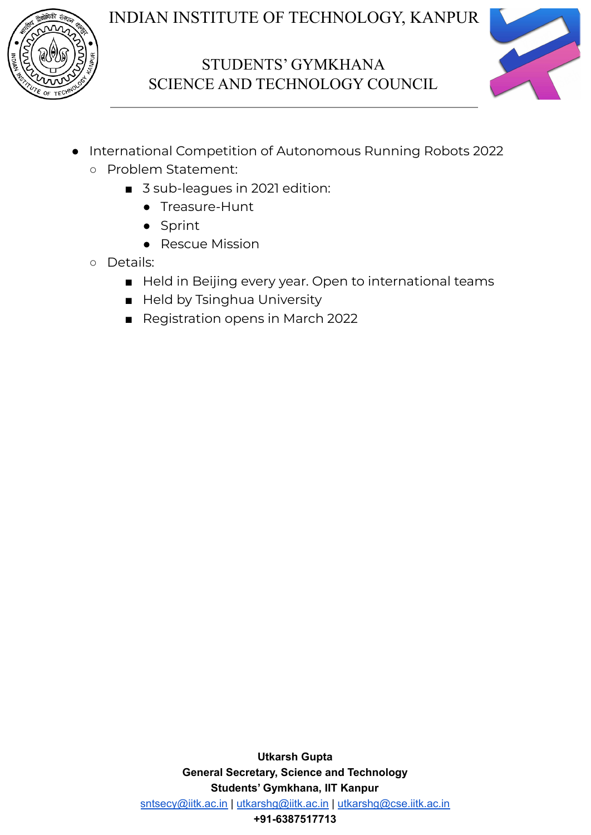

### STUDENTS' GYMKHANA SCIENCE AND TECHNOLOGY COUNCIL



- International Competition of Autonomous Running Robots 2022
	- Problem Statement:
		- 3 sub-leagues in 2021 edition:
			- Treasure-Hunt
			- Sprint
			- Rescue Mission
	- Details:
		- Held in Beijing every year. Open to international teams
		- Held by Tsinghua University
		- Registration opens in March 2022

**Utkarsh Gupta General Secretary, Science and Technology Students' Gymkhana, IIT Kanpur** [sntsecy@iitk.ac.in](mailto:sntsecy@iitk.ac.in) | [utkarshg@iitk.ac.in](mailto:utkarshg@iitk.ac.in) | [utkarshg@cse.iitk.ac.in](mailto:utkarshg@cse.iitk.ac.in) **+91-6387517713**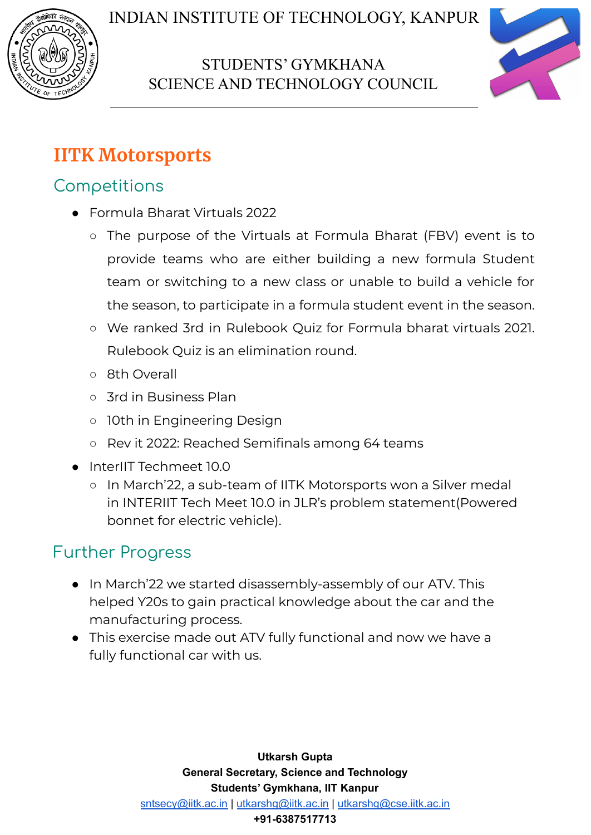



# **IITK Motorsports**

## **Competitions**

- Formula Bharat Virtuals 2022
	- The purpose of the Virtuals at Formula Bharat (FBV) event is to provide teams who are either building a new formula Student team or switching to a new class or unable to build a vehicle for the season, to participate in a formula student event in the season.
	- We ranked 3rd in Rulebook Quiz for Formula bharat virtuals 2021. Rulebook Quiz is an elimination round.
	- o 8th Overall
	- 3rd in Business Plan
	- 10th in Engineering Design
	- Rev it 2022: Reached Semifinals among 64 teams
- InterIIT Techmeet 10.0
	- In March'22, a sub-team of IITK Motorsports won a Silver medal in INTERIIT Tech Meet 10.0 in JLR's problem statement(Powered bonnet for electric vehicle).

# Further Progress

- In March'22 we started disassembly-assembly of our ATV. This helped Y20s to gain practical knowledge about the car and the manufacturing process.
- This exercise made out ATV fully functional and now we have a fully functional car with us.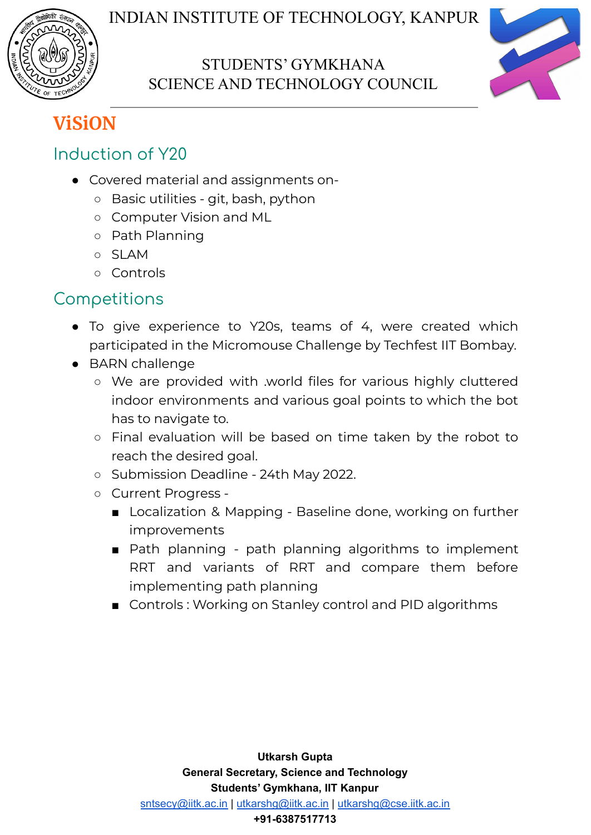



# **ViSiON**

## Induction of Y20

- Covered material and assignments on-
	- Basic utilities git, bash, python
	- Computer Vision and ML
	- Path Planning
	- SLAM
	- Controls

## **Competitions**

- To give experience to Y20s, teams of 4, were created which participated in the Micromouse Challenge by Techfest IIT Bombay.
- BARN challenge
	- We are provided with .world files for various highly cluttered indoor environments and various goal points to which the bot has to navigate to.
	- Final evaluation will be based on time taken by the robot to reach the desired goal.
	- Submission Deadline 24th May 2022.
	- Current Progress
		- Localization & Mapping Baseline done, working on further improvements
		- Path planning path planning algorithms to implement RRT and variants of RRT and compare them before implementing path planning
		- Controls: Working on Stanley control and PID algorithms